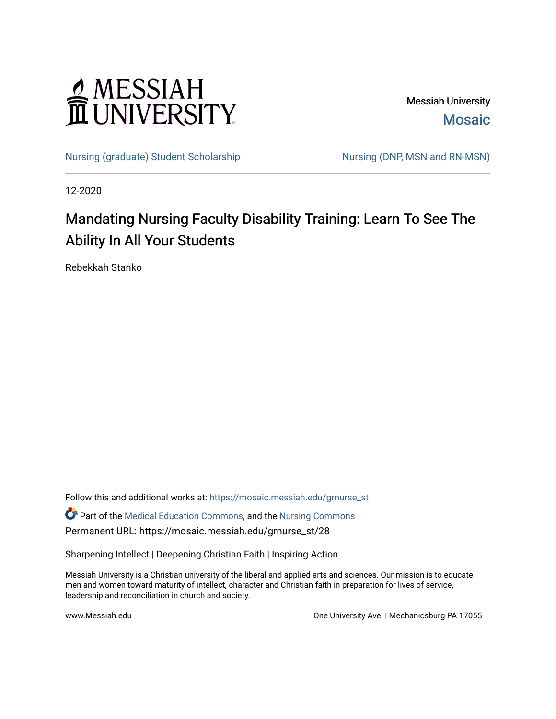# MESSIAH

Messiah University [Mosaic](https://mosaic.messiah.edu/) 

[Nursing \(graduate\) Student Scholarship](https://mosaic.messiah.edu/grnurse_st) Nursing (DNP, MSN and RN-MSN)

12-2020

# Mandating Nursing Faculty Disability Training: Learn To See The Ability In All Your Students

Rebekkah Stanko

Follow this and additional works at: [https://mosaic.messiah.edu/grnurse\\_st](https://mosaic.messiah.edu/grnurse_st?utm_source=mosaic.messiah.edu%2Fgrnurse_st%2F28&utm_medium=PDF&utm_campaign=PDFCoverPages)

Part of the [Medical Education Commons,](http://network.bepress.com/hgg/discipline/1125?utm_source=mosaic.messiah.edu%2Fgrnurse_st%2F28&utm_medium=PDF&utm_campaign=PDFCoverPages) and the [Nursing Commons](http://network.bepress.com/hgg/discipline/718?utm_source=mosaic.messiah.edu%2Fgrnurse_st%2F28&utm_medium=PDF&utm_campaign=PDFCoverPages) Permanent URL: https://mosaic.messiah.edu/grnurse\_st/28

Sharpening Intellect | Deepening Christian Faith | Inspiring Action

Messiah University is a Christian university of the liberal and applied arts and sciences. Our mission is to educate men and women toward maturity of intellect, character and Christian faith in preparation for lives of service, leadership and reconciliation in church and society.

www.Messiah.edu **One University Ave. | Mechanicsburg PA 17055**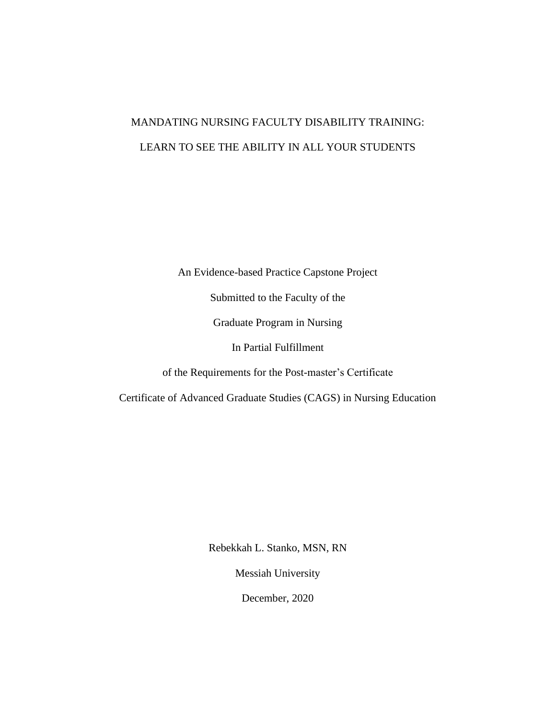# MANDATING NURSING FACULTY DISABILITY TRAINING: LEARN TO SEE THE ABILITY IN ALL YOUR STUDENTS

An Evidence-based Practice Capstone Project

Submitted to the Faculty of the

Graduate Program in Nursing

In Partial Fulfillment

of the Requirements for the Post-master's Certificate

Certificate of Advanced Graduate Studies (CAGS) in Nursing Education

Rebekkah L. Stanko, MSN, RN

Messiah University

December, 2020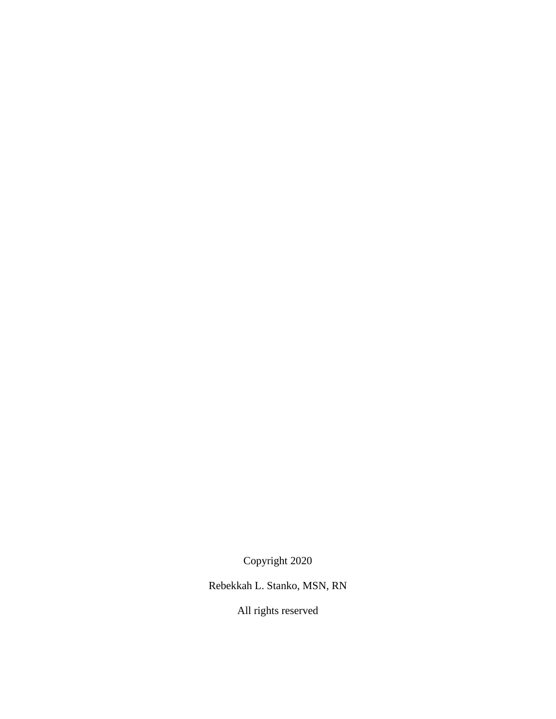Copyright 2020

Rebekkah L. Stanko, MSN, RN

All rights reserved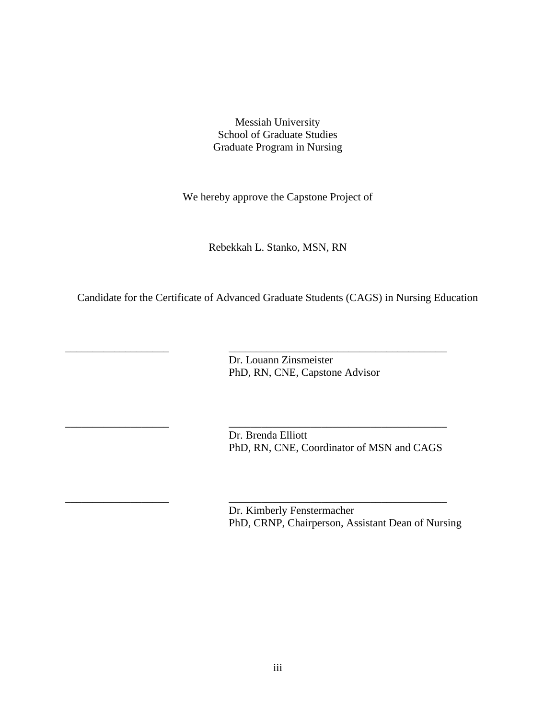Messiah University School of Graduate Studies Graduate Program in Nursing

We hereby approve the Capstone Project of

Rebekkah L. Stanko, MSN, RN

Candidate for the Certificate of Advanced Graduate Students (CAGS) in Nursing Education

\_\_\_\_\_\_\_\_\_\_\_\_\_\_\_\_\_\_\_ \_\_\_\_\_\_\_\_\_\_\_\_\_\_\_\_\_\_\_\_\_\_\_\_\_\_\_\_\_\_\_\_\_\_\_\_\_\_\_\_

\_\_\_\_\_\_\_\_\_\_\_\_\_\_\_\_\_\_\_ \_\_\_\_\_\_\_\_\_\_\_\_\_\_\_\_\_\_\_\_\_\_\_\_\_\_\_\_\_\_\_\_\_\_\_\_\_\_\_\_

\_\_\_\_\_\_\_\_\_\_\_\_\_\_\_\_\_\_\_ \_\_\_\_\_\_\_\_\_\_\_\_\_\_\_\_\_\_\_\_\_\_\_\_\_\_\_\_\_\_\_\_\_\_\_\_\_\_\_\_

 Dr. Louann Zinsmeister PhD, RN, CNE, Capstone Advisor

Dr. Brenda Elliott PhD, RN, CNE, Coordinator of MSN and CAGS

Dr. Kimberly Fenstermacher PhD, CRNP, Chairperson, Assistant Dean of Nursing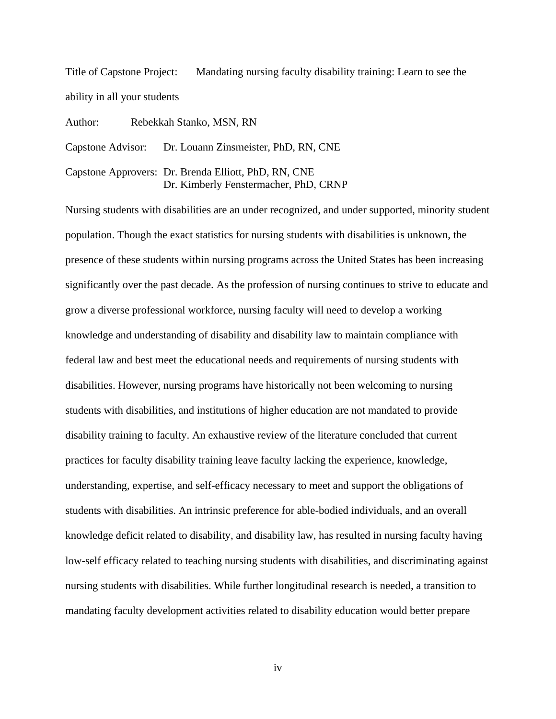Title of Capstone Project: Mandating nursing faculty disability training: Learn to see the ability in all your students

Author: Rebekkah Stanko, MSN, RN

Capstone Advisor: Dr. Louann Zinsmeister, PhD, RN, CNE

Capstone Approvers: Dr. Brenda Elliott, PhD, RN, CNE Dr. Kimberly Fenstermacher, PhD, CRNP

Nursing students with disabilities are an under recognized, and under supported, minority student population. Though the exact statistics for nursing students with disabilities is unknown, the presence of these students within nursing programs across the United States has been increasing significantly over the past decade. As the profession of nursing continues to strive to educate and grow a diverse professional workforce, nursing faculty will need to develop a working knowledge and understanding of disability and disability law to maintain compliance with federal law and best meet the educational needs and requirements of nursing students with disabilities. However, nursing programs have historically not been welcoming to nursing students with disabilities, and institutions of higher education are not mandated to provide disability training to faculty. An exhaustive review of the literature concluded that current practices for faculty disability training leave faculty lacking the experience, knowledge, understanding, expertise, and self-efficacy necessary to meet and support the obligations of students with disabilities. An intrinsic preference for able-bodied individuals, and an overall knowledge deficit related to disability, and disability law, has resulted in nursing faculty having low-self efficacy related to teaching nursing students with disabilities, and discriminating against nursing students with disabilities. While further longitudinal research is needed, a transition to mandating faculty development activities related to disability education would better prepare

iv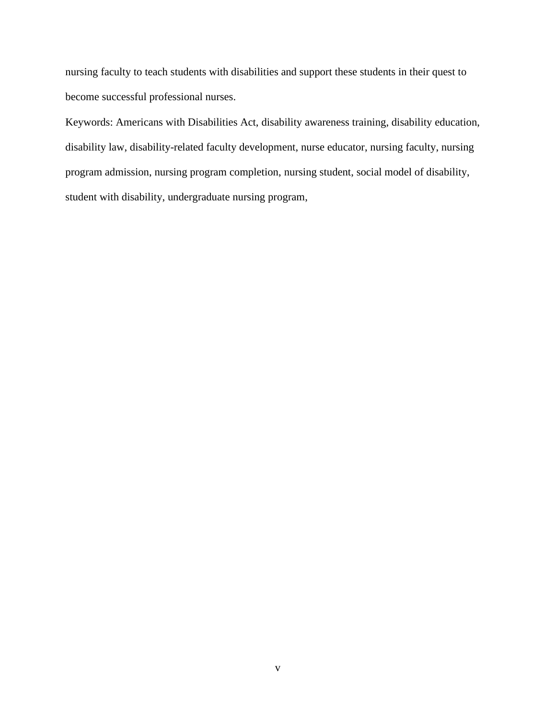nursing faculty to teach students with disabilities and support these students in their quest to become successful professional nurses.

Keywords: Americans with Disabilities Act, disability awareness training, disability education, disability law, disability-related faculty development, nurse educator, nursing faculty, nursing program admission, nursing program completion, nursing student, social model of disability, student with disability, undergraduate nursing program,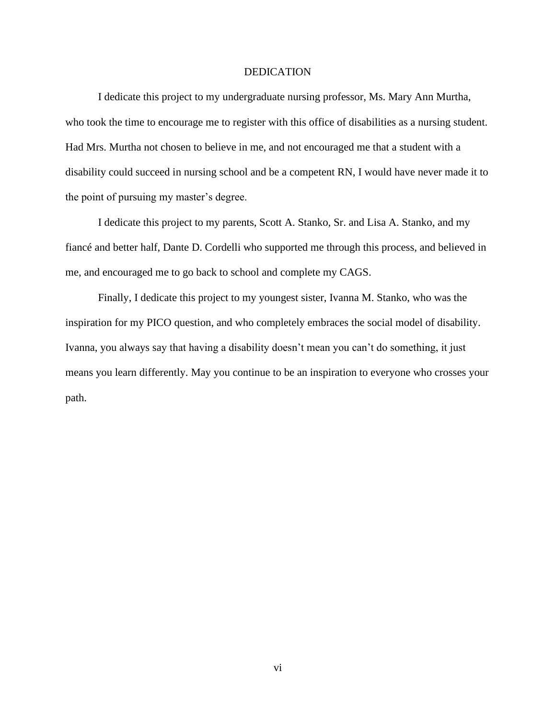#### DEDICATION

I dedicate this project to my undergraduate nursing professor, Ms. Mary Ann Murtha, who took the time to encourage me to register with this office of disabilities as a nursing student. Had Mrs. Murtha not chosen to believe in me, and not encouraged me that a student with a disability could succeed in nursing school and be a competent RN, I would have never made it to the point of pursuing my master's degree.

I dedicate this project to my parents, Scott A. Stanko, Sr. and Lisa A. Stanko, and my fiancé and better half, Dante D. Cordelli who supported me through this process, and believed in me, and encouraged me to go back to school and complete my CAGS.

Finally, I dedicate this project to my youngest sister, Ivanna M. Stanko, who was the inspiration for my PICO question, and who completely embraces the social model of disability. Ivanna, you always say that having a disability doesn't mean you can't do something, it just means you learn differently. May you continue to be an inspiration to everyone who crosses your path.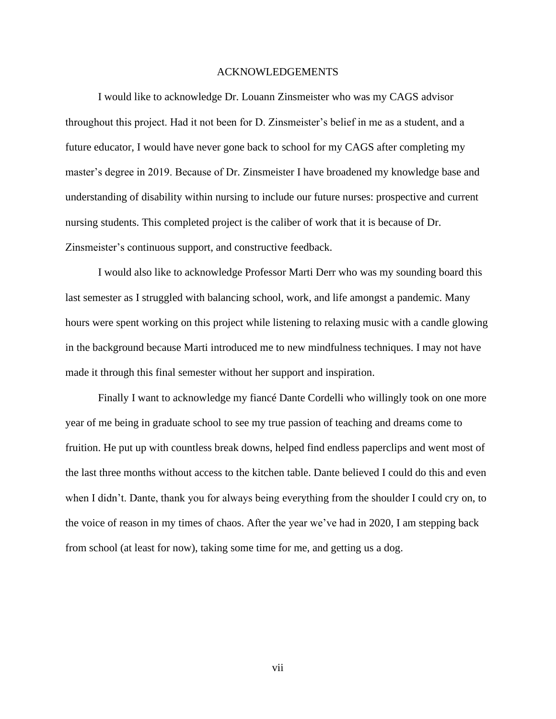#### ACKNOWLEDGEMENTS

I would like to acknowledge Dr. Louann Zinsmeister who was my CAGS advisor throughout this project. Had it not been for D. Zinsmeister's belief in me as a student, and a future educator, I would have never gone back to school for my CAGS after completing my master's degree in 2019. Because of Dr. Zinsmeister I have broadened my knowledge base and understanding of disability within nursing to include our future nurses: prospective and current nursing students. This completed project is the caliber of work that it is because of Dr. Zinsmeister's continuous support, and constructive feedback.

I would also like to acknowledge Professor Marti Derr who was my sounding board this last semester as I struggled with balancing school, work, and life amongst a pandemic. Many hours were spent working on this project while listening to relaxing music with a candle glowing in the background because Marti introduced me to new mindfulness techniques. I may not have made it through this final semester without her support and inspiration.

Finally I want to acknowledge my fiancé Dante Cordelli who willingly took on one more year of me being in graduate school to see my true passion of teaching and dreams come to fruition. He put up with countless break downs, helped find endless paperclips and went most of the last three months without access to the kitchen table. Dante believed I could do this and even when I didn't. Dante, thank you for always being everything from the shoulder I could cry on, to the voice of reason in my times of chaos. After the year we've had in 2020, I am stepping back from school (at least for now), taking some time for me, and getting us a dog.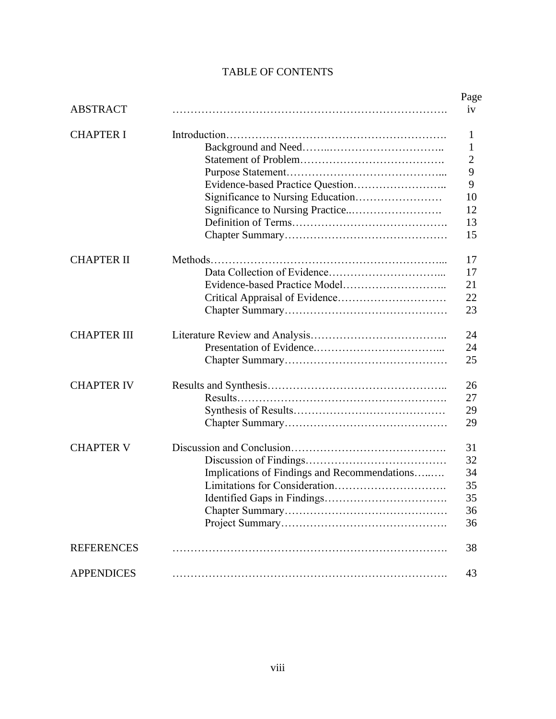## TABLE OF CONTENTS

|                    |                                              | Page           |
|--------------------|----------------------------------------------|----------------|
| <b>ABSTRACT</b>    |                                              | iv             |
| <b>CHAPTER I</b>   |                                              | 1              |
|                    |                                              | $\mathbf{1}$   |
|                    |                                              | $\overline{2}$ |
|                    |                                              | 9              |
|                    |                                              | 9              |
|                    |                                              | 10             |
|                    |                                              | 12             |
|                    |                                              | 13             |
|                    |                                              | 15             |
| <b>CHAPTER II</b>  |                                              | 17             |
|                    |                                              | 17             |
|                    |                                              | 21             |
|                    |                                              | 22             |
|                    |                                              | 23             |
| <b>CHAPTER III</b> |                                              | 24             |
|                    |                                              | 24             |
|                    |                                              | 25             |
| <b>CHAPTER IV</b>  |                                              | 26             |
|                    |                                              | 27             |
|                    |                                              | 29             |
|                    |                                              | 29             |
| <b>CHAPTER V</b>   |                                              | 31             |
|                    |                                              | 32             |
|                    | Implications of Findings and Recommendations | 34             |
|                    |                                              | 35             |
|                    |                                              | 35             |
|                    |                                              | 36             |
|                    |                                              | 36             |
| <b>REFERENCES</b>  |                                              | 38             |
| <b>APPENDICES</b>  |                                              | 43             |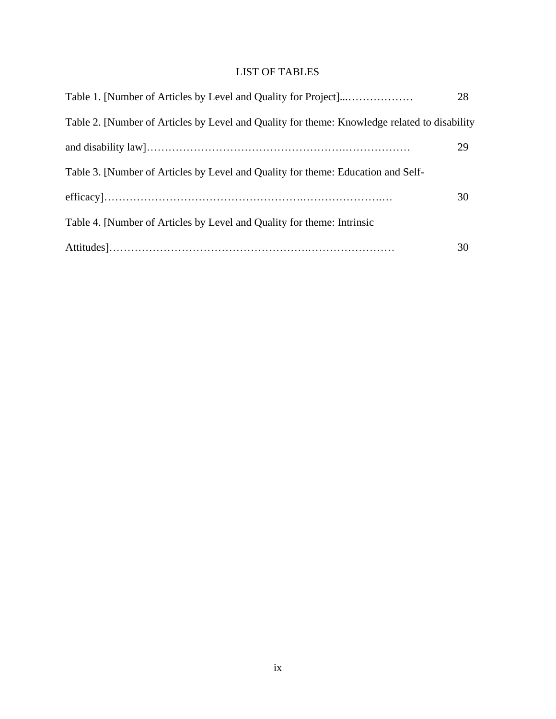# LIST OF TABLES

|                                                                                              | 28 |  |  |  |
|----------------------------------------------------------------------------------------------|----|--|--|--|
| Table 2. [Number of Articles by Level and Quality for theme: Knowledge related to disability |    |  |  |  |
|                                                                                              | 29 |  |  |  |
| Table 3. [Number of Articles by Level and Quality for theme: Education and Self-             |    |  |  |  |
|                                                                                              | 30 |  |  |  |
| Table 4. [Number of Articles by Level and Quality for theme: Intrinsic                       |    |  |  |  |
|                                                                                              | 30 |  |  |  |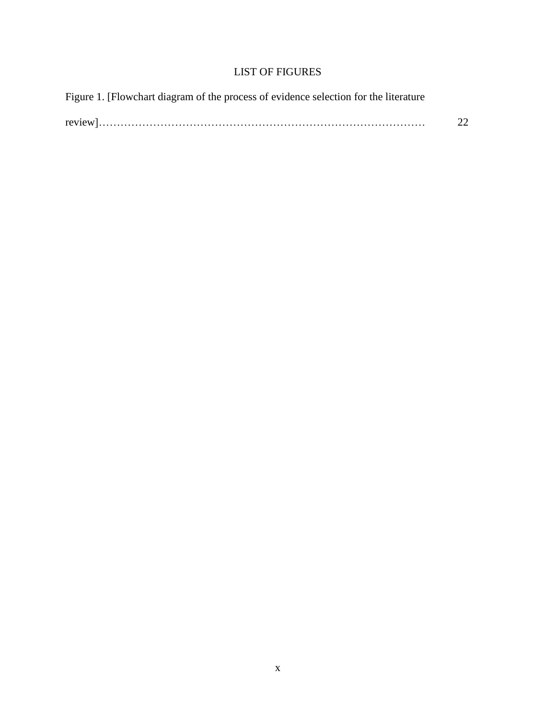## LIST OF FIGURES

| Figure 1. [Flowchart diagram of the process of evidence selection for the literature |    |
|--------------------------------------------------------------------------------------|----|
|                                                                                      | 22 |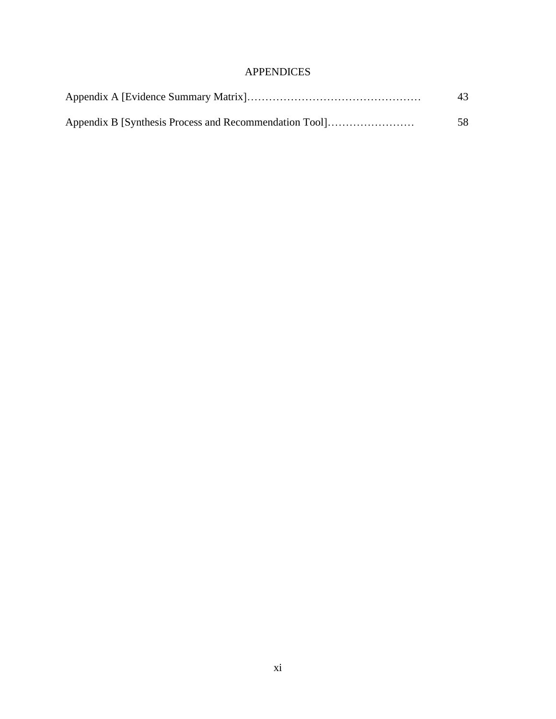## APPENDICES

| Appendix B [Synthesis Process and Recommendation Tool] | 58 |
|--------------------------------------------------------|----|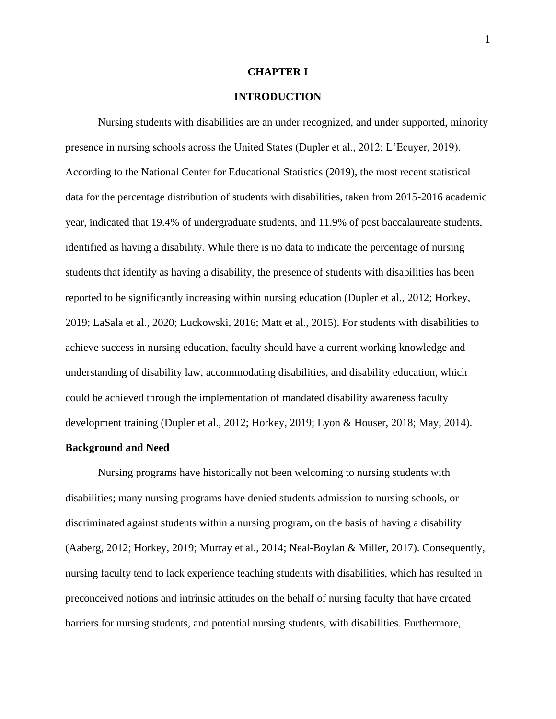#### **CHAPTER I**

#### **INTRODUCTION**

Nursing students with disabilities are an under recognized, and under supported, minority presence in nursing schools across the United States (Dupler et al., 2012; L'Ecuyer, 2019). According to the National Center for Educational Statistics (2019), the most recent statistical data for the percentage distribution of students with disabilities, taken from 2015-2016 academic year, indicated that 19.4% of undergraduate students, and 11.9% of post baccalaureate students, identified as having a disability. While there is no data to indicate the percentage of nursing students that identify as having a disability, the presence of students with disabilities has been reported to be significantly increasing within nursing education (Dupler et al., 2012; Horkey, 2019; LaSala et al., 2020; Luckowski, 2016; Matt et al., 2015). For students with disabilities to achieve success in nursing education, faculty should have a current working knowledge and understanding of disability law, accommodating disabilities, and disability education, which could be achieved through the implementation of mandated disability awareness faculty development training (Dupler et al., 2012; Horkey, 2019; Lyon & Houser, 2018; May, 2014).

#### **Background and Need**

Nursing programs have historically not been welcoming to nursing students with disabilities; many nursing programs have denied students admission to nursing schools, or discriminated against students within a nursing program, on the basis of having a disability (Aaberg, 2012; Horkey, 2019; Murray et al., 2014; Neal-Boylan & Miller, 2017). Consequently, nursing faculty tend to lack experience teaching students with disabilities, which has resulted in preconceived notions and intrinsic attitudes on the behalf of nursing faculty that have created barriers for nursing students, and potential nursing students, with disabilities. Furthermore,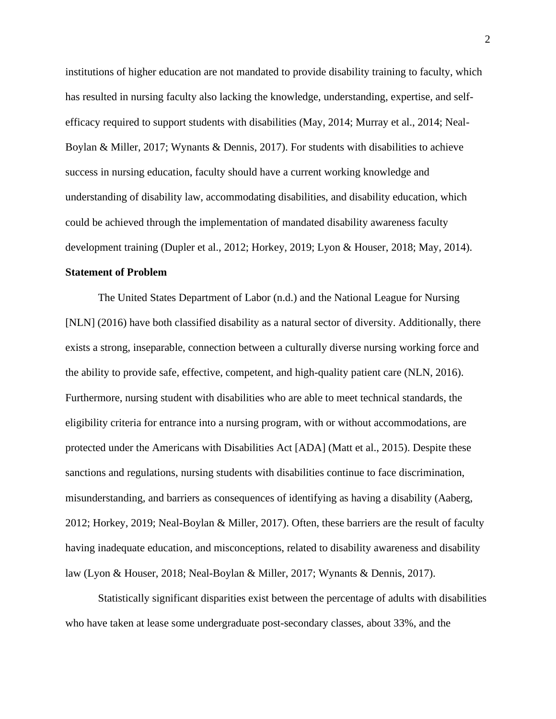institutions of higher education are not mandated to provide disability training to faculty, which has resulted in nursing faculty also lacking the knowledge, understanding, expertise, and selfefficacy required to support students with disabilities (May, 2014; Murray et al., 2014; Neal-Boylan & Miller, 2017; Wynants & Dennis, 2017). For students with disabilities to achieve success in nursing education, faculty should have a current working knowledge and understanding of disability law, accommodating disabilities, and disability education, which could be achieved through the implementation of mandated disability awareness faculty development training (Dupler et al., 2012; Horkey, 2019; Lyon & Houser, 2018; May, 2014).

#### **Statement of Problem**

The United States Department of Labor (n.d.) and the National League for Nursing [NLN] (2016) have both classified disability as a natural sector of diversity. Additionally, there exists a strong, inseparable, connection between a culturally diverse nursing working force and the ability to provide safe, effective, competent, and high-quality patient care (NLN, 2016). Furthermore, nursing student with disabilities who are able to meet technical standards, the eligibility criteria for entrance into a nursing program, with or without accommodations, are protected under the Americans with Disabilities Act [ADA] (Matt et al., 2015). Despite these sanctions and regulations, nursing students with disabilities continue to face discrimination, misunderstanding, and barriers as consequences of identifying as having a disability (Aaberg, 2012; Horkey, 2019; Neal-Boylan & Miller, 2017). Often, these barriers are the result of faculty having inadequate education, and misconceptions, related to disability awareness and disability law (Lyon & Houser, 2018; Neal-Boylan & Miller, 2017; Wynants & Dennis, 2017).

Statistically significant disparities exist between the percentage of adults with disabilities who have taken at lease some undergraduate post-secondary classes, about 33%, and the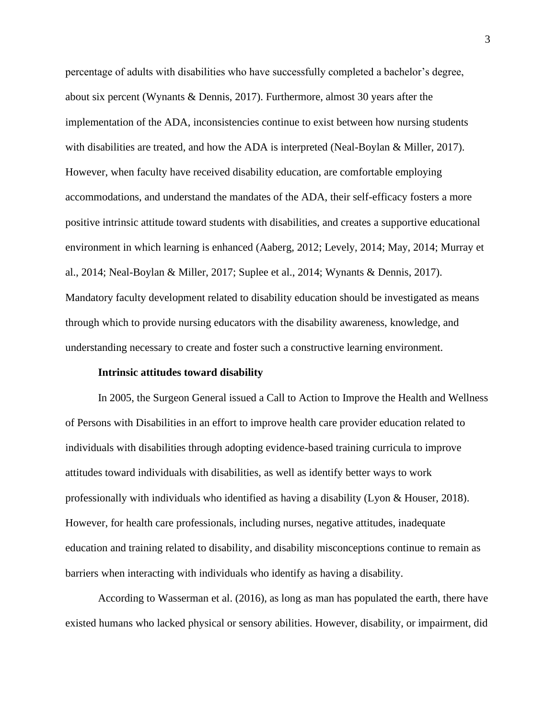percentage of adults with disabilities who have successfully completed a bachelor's degree, about six percent (Wynants & Dennis, 2017). Furthermore, almost 30 years after the implementation of the ADA, inconsistencies continue to exist between how nursing students with disabilities are treated, and how the ADA is interpreted (Neal-Boylan & Miller, 2017). However, when faculty have received disability education, are comfortable employing accommodations, and understand the mandates of the ADA, their self-efficacy fosters a more positive intrinsic attitude toward students with disabilities, and creates a supportive educational environment in which learning is enhanced (Aaberg, 2012; Levely, 2014; May, 2014; Murray et al., 2014; Neal-Boylan & Miller, 2017; Suplee et al., 2014; Wynants & Dennis, 2017). Mandatory faculty development related to disability education should be investigated as means through which to provide nursing educators with the disability awareness, knowledge, and understanding necessary to create and foster such a constructive learning environment.

#### **Intrinsic attitudes toward disability**

In 2005, the Surgeon General issued a Call to Action to Improve the Health and Wellness of Persons with Disabilities in an effort to improve health care provider education related to individuals with disabilities through adopting evidence-based training curricula to improve attitudes toward individuals with disabilities, as well as identify better ways to work professionally with individuals who identified as having a disability (Lyon & Houser, 2018). However, for health care professionals, including nurses, negative attitudes, inadequate education and training related to disability, and disability misconceptions continue to remain as barriers when interacting with individuals who identify as having a disability.

According to Wasserman et al. (2016), as long as man has populated the earth, there have existed humans who lacked physical or sensory abilities. However, disability, or impairment, did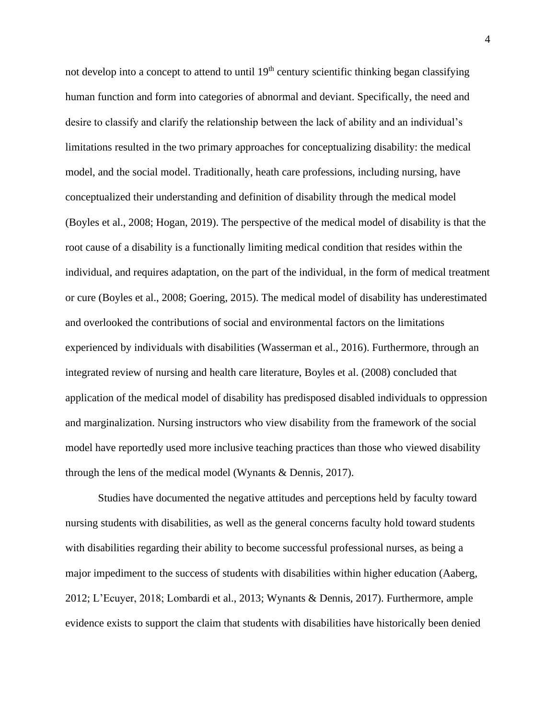not develop into a concept to attend to until  $19<sup>th</sup>$  century scientific thinking began classifying human function and form into categories of abnormal and deviant. Specifically, the need and desire to classify and clarify the relationship between the lack of ability and an individual's limitations resulted in the two primary approaches for conceptualizing disability: the medical model, and the social model. Traditionally, heath care professions, including nursing, have conceptualized their understanding and definition of disability through the medical model (Boyles et al., 2008; Hogan, 2019). The perspective of the medical model of disability is that the root cause of a disability is a functionally limiting medical condition that resides within the individual, and requires adaptation, on the part of the individual, in the form of medical treatment or cure (Boyles et al., 2008; Goering, 2015). The medical model of disability has underestimated and overlooked the contributions of social and environmental factors on the limitations experienced by individuals with disabilities (Wasserman et al., 2016). Furthermore, through an integrated review of nursing and health care literature, Boyles et al. (2008) concluded that application of the medical model of disability has predisposed disabled individuals to oppression and marginalization. Nursing instructors who view disability from the framework of the social model have reportedly used more inclusive teaching practices than those who viewed disability through the lens of the medical model (Wynants & Dennis, 2017).

Studies have documented the negative attitudes and perceptions held by faculty toward nursing students with disabilities, as well as the general concerns faculty hold toward students with disabilities regarding their ability to become successful professional nurses, as being a major impediment to the success of students with disabilities within higher education (Aaberg, 2012; L'Ecuyer, 2018; Lombardi et al., 2013; Wynants & Dennis, 2017). Furthermore, ample evidence exists to support the claim that students with disabilities have historically been denied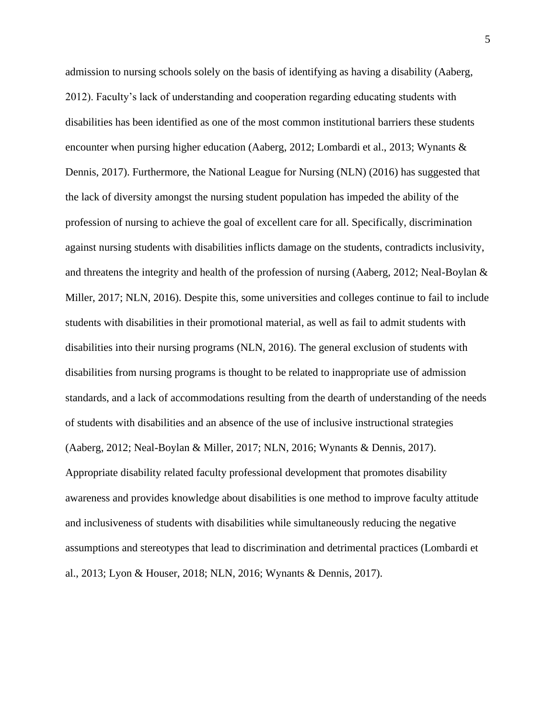admission to nursing schools solely on the basis of identifying as having a disability (Aaberg, 2012). Faculty's lack of understanding and cooperation regarding educating students with disabilities has been identified as one of the most common institutional barriers these students encounter when pursing higher education (Aaberg, 2012; Lombardi et al., 2013; Wynants & Dennis, 2017). Furthermore, the National League for Nursing (NLN) (2016) has suggested that the lack of diversity amongst the nursing student population has impeded the ability of the profession of nursing to achieve the goal of excellent care for all. Specifically, discrimination against nursing students with disabilities inflicts damage on the students, contradicts inclusivity, and threatens the integrity and health of the profession of nursing (Aaberg, 2012; Neal-Boylan & Miller, 2017; NLN, 2016). Despite this, some universities and colleges continue to fail to include students with disabilities in their promotional material, as well as fail to admit students with disabilities into their nursing programs (NLN, 2016). The general exclusion of students with disabilities from nursing programs is thought to be related to inappropriate use of admission standards, and a lack of accommodations resulting from the dearth of understanding of the needs of students with disabilities and an absence of the use of inclusive instructional strategies (Aaberg, 2012; Neal-Boylan & Miller, 2017; NLN, 2016; Wynants & Dennis, 2017). Appropriate disability related faculty professional development that promotes disability awareness and provides knowledge about disabilities is one method to improve faculty attitude and inclusiveness of students with disabilities while simultaneously reducing the negative assumptions and stereotypes that lead to discrimination and detrimental practices (Lombardi et al., 2013; Lyon & Houser, 2018; NLN, 2016; Wynants & Dennis, 2017).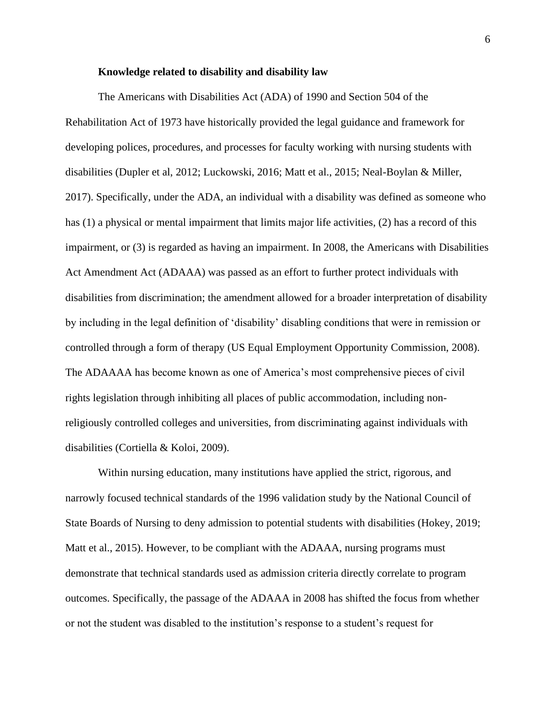#### **Knowledge related to disability and disability law**

The Americans with Disabilities Act (ADA) of 1990 and Section 504 of the Rehabilitation Act of 1973 have historically provided the legal guidance and framework for developing polices, procedures, and processes for faculty working with nursing students with disabilities (Dupler et al, 2012; Luckowski, 2016; Matt et al., 2015; Neal-Boylan & Miller, 2017). Specifically, under the ADA, an individual with a disability was defined as someone who has (1) a physical or mental impairment that limits major life activities, (2) has a record of this impairment, or (3) is regarded as having an impairment. In 2008, the Americans with Disabilities Act Amendment Act (ADAAA) was passed as an effort to further protect individuals with disabilities from discrimination; the amendment allowed for a broader interpretation of disability by including in the legal definition of 'disability' disabling conditions that were in remission or controlled through a form of therapy (US Equal Employment Opportunity Commission, 2008). The ADAAAA has become known as one of America's most comprehensive pieces of civil rights legislation through inhibiting all places of public accommodation, including nonreligiously controlled colleges and universities, from discriminating against individuals with disabilities (Cortiella & Koloi, 2009).

Within nursing education, many institutions have applied the strict, rigorous, and narrowly focused technical standards of the 1996 validation study by the National Council of State Boards of Nursing to deny admission to potential students with disabilities (Hokey, 2019; Matt et al., 2015). However, to be compliant with the ADAAA, nursing programs must demonstrate that technical standards used as admission criteria directly correlate to program outcomes. Specifically, the passage of the ADAAA in 2008 has shifted the focus from whether or not the student was disabled to the institution's response to a student's request for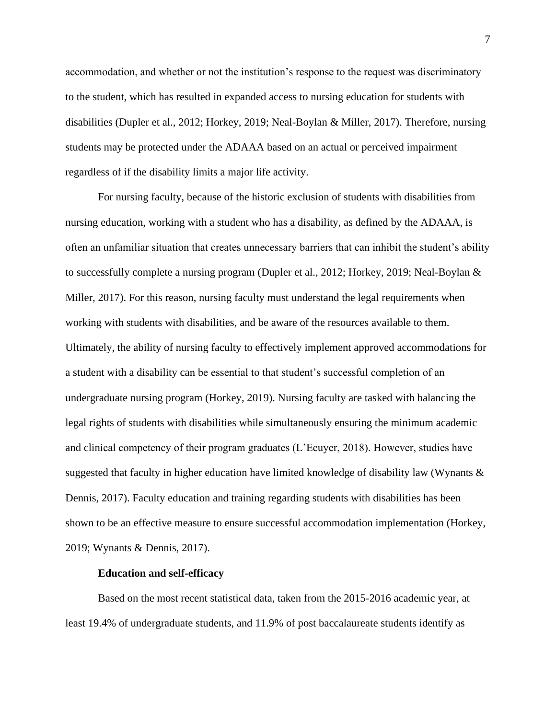accommodation, and whether or not the institution's response to the request was discriminatory to the student, which has resulted in expanded access to nursing education for students with disabilities (Dupler et al., 2012; Horkey, 2019; Neal-Boylan & Miller, 2017). Therefore, nursing students may be protected under the ADAAA based on an actual or perceived impairment regardless of if the disability limits a major life activity.

For nursing faculty, because of the historic exclusion of students with disabilities from nursing education, working with a student who has a disability, as defined by the ADAAA, is often an unfamiliar situation that creates unnecessary barriers that can inhibit the student's ability to successfully complete a nursing program (Dupler et al., 2012; Horkey, 2019; Neal-Boylan & Miller, 2017). For this reason, nursing faculty must understand the legal requirements when working with students with disabilities, and be aware of the resources available to them. Ultimately, the ability of nursing faculty to effectively implement approved accommodations for a student with a disability can be essential to that student's successful completion of an undergraduate nursing program (Horkey, 2019). Nursing faculty are tasked with balancing the legal rights of students with disabilities while simultaneously ensuring the minimum academic and clinical competency of their program graduates (L'Ecuyer, 2018). However, studies have suggested that faculty in higher education have limited knowledge of disability law (Wynants & Dennis, 2017). Faculty education and training regarding students with disabilities has been shown to be an effective measure to ensure successful accommodation implementation (Horkey, 2019; Wynants & Dennis, 2017).

#### **Education and self-efficacy**

Based on the most recent statistical data, taken from the 2015-2016 academic year, at least 19.4% of undergraduate students, and 11.9% of post baccalaureate students identify as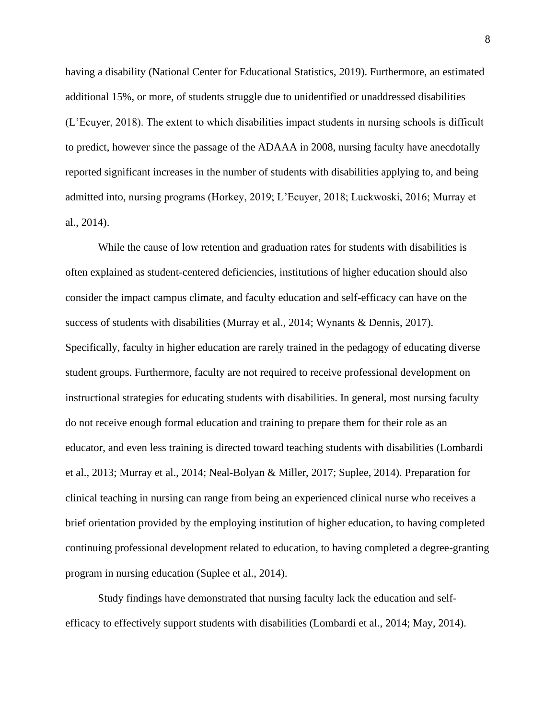having a disability (National Center for Educational Statistics, 2019). Furthermore, an estimated additional 15%, or more, of students struggle due to unidentified or unaddressed disabilities (L'Ecuyer, 2018). The extent to which disabilities impact students in nursing schools is difficult to predict, however since the passage of the ADAAA in 2008, nursing faculty have anecdotally reported significant increases in the number of students with disabilities applying to, and being admitted into, nursing programs (Horkey, 2019; L'Ecuyer, 2018; Luckwoski, 2016; Murray et al., 2014).

While the cause of low retention and graduation rates for students with disabilities is often explained as student-centered deficiencies, institutions of higher education should also consider the impact campus climate, and faculty education and self-efficacy can have on the success of students with disabilities (Murray et al., 2014; Wynants & Dennis, 2017). Specifically, faculty in higher education are rarely trained in the pedagogy of educating diverse student groups. Furthermore, faculty are not required to receive professional development on instructional strategies for educating students with disabilities. In general, most nursing faculty do not receive enough formal education and training to prepare them for their role as an educator, and even less training is directed toward teaching students with disabilities (Lombardi et al., 2013; Murray et al., 2014; Neal-Bolyan & Miller, 2017; Suplee, 2014). Preparation for clinical teaching in nursing can range from being an experienced clinical nurse who receives a brief orientation provided by the employing institution of higher education, to having completed continuing professional development related to education, to having completed a degree-granting program in nursing education (Suplee et al., 2014).

Study findings have demonstrated that nursing faculty lack the education and selfefficacy to effectively support students with disabilities (Lombardi et al., 2014; May, 2014).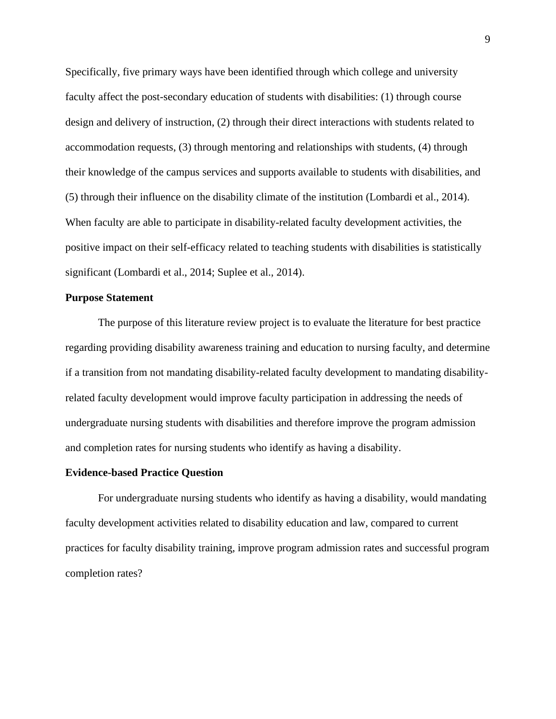Specifically, five primary ways have been identified through which college and university faculty affect the post-secondary education of students with disabilities: (1) through course design and delivery of instruction, (2) through their direct interactions with students related to accommodation requests, (3) through mentoring and relationships with students, (4) through their knowledge of the campus services and supports available to students with disabilities, and (5) through their influence on the disability climate of the institution (Lombardi et al., 2014). When faculty are able to participate in disability-related faculty development activities, the positive impact on their self-efficacy related to teaching students with disabilities is statistically significant (Lombardi et al., 2014; Suplee et al., 2014).

#### **Purpose Statement**

The purpose of this literature review project is to evaluate the literature for best practice regarding providing disability awareness training and education to nursing faculty, and determine if a transition from not mandating disability-related faculty development to mandating disabilityrelated faculty development would improve faculty participation in addressing the needs of undergraduate nursing students with disabilities and therefore improve the program admission and completion rates for nursing students who identify as having a disability.

#### **Evidence-based Practice Question**

For undergraduate nursing students who identify as having a disability, would mandating faculty development activities related to disability education and law, compared to current practices for faculty disability training, improve program admission rates and successful program completion rates?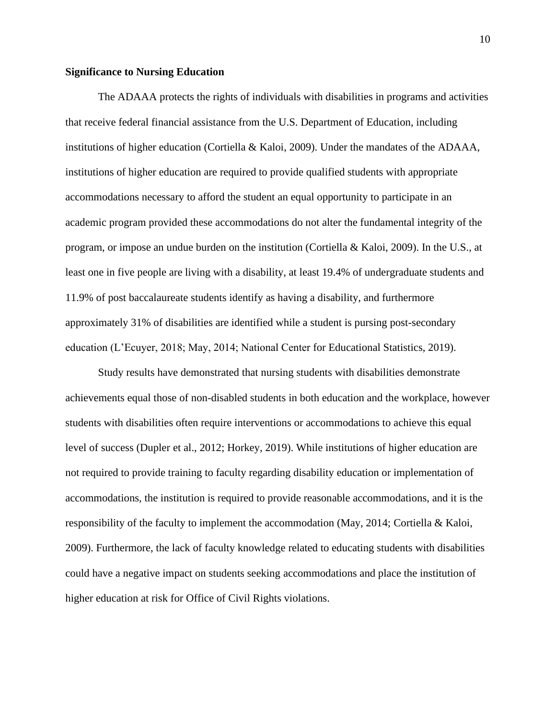#### **Significance to Nursing Education**

The ADAAA protects the rights of individuals with disabilities in programs and activities that receive federal financial assistance from the U.S. Department of Education, including institutions of higher education (Cortiella & Kaloi, 2009). Under the mandates of the ADAAA, institutions of higher education are required to provide qualified students with appropriate accommodations necessary to afford the student an equal opportunity to participate in an academic program provided these accommodations do not alter the fundamental integrity of the program, or impose an undue burden on the institution (Cortiella & Kaloi, 2009). In the U.S., at least one in five people are living with a disability, at least 19.4% of undergraduate students and 11.9% of post baccalaureate students identify as having a disability, and furthermore approximately 31% of disabilities are identified while a student is pursing post-secondary education (L'Ecuyer, 2018; May, 2014; National Center for Educational Statistics, 2019).

Study results have demonstrated that nursing students with disabilities demonstrate achievements equal those of non-disabled students in both education and the workplace, however students with disabilities often require interventions or accommodations to achieve this equal level of success (Dupler et al., 2012; Horkey, 2019). While institutions of higher education are not required to provide training to faculty regarding disability education or implementation of accommodations, the institution is required to provide reasonable accommodations, and it is the responsibility of the faculty to implement the accommodation (May, 2014; Cortiella & Kaloi, 2009). Furthermore, the lack of faculty knowledge related to educating students with disabilities could have a negative impact on students seeking accommodations and place the institution of higher education at risk for Office of Civil Rights violations.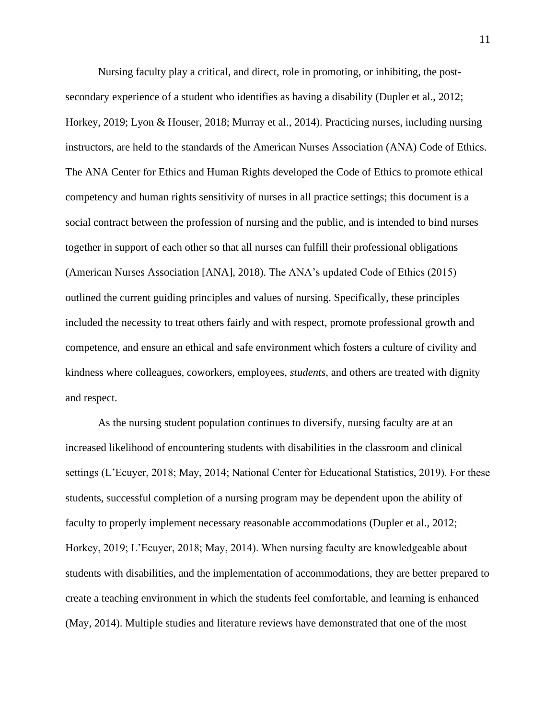Nursing faculty play a critical, and direct, role in promoting, or inhibiting, the postsecondary experience of a student who identifies as having a disability (Dupler et al., 2012; Horkey, 2019; Lyon & Houser, 2018; Murray et al., 2014). Practicing nurses, including nursing instructors, are held to the standards of the American Nurses Association (ANA) Code of Ethics. The ANA Center for Ethics and Human Rights developed the Code of Ethics to promote ethical competency and human rights sensitivity of nurses in all practice settings; this document is a social contract between the profession of nursing and the public, and is intended to bind nurses together in support of each other so that all nurses can fulfill their professional obligations (American Nurses Association [ANA], 2018). The ANA's updated Code of Ethics (2015) outlined the current guiding principles and values of nursing. Specifically, these principles included the necessity to treat others fairly and with respect, promote professional growth and competence, and ensure an ethical and safe environment which fosters a culture of civility and kindness where colleagues, coworkers, employees, *students*, and others are treated with dignity and respect.

As the nursing student population continues to diversify, nursing faculty are at an increased likelihood of encountering students with disabilities in the classroom and clinical settings (L'Ecuyer, 2018; May, 2014; National Center for Educational Statistics, 2019). For these students, successful completion of a nursing program may be dependent upon the ability of faculty to properly implement necessary reasonable accommodations (Dupler et al., 2012; Horkey, 2019; L'Ecuyer, 2018; May, 2014). When nursing faculty are knowledgeable about students with disabilities, and the implementation of accommodations, they are better prepared to create a teaching environment in which the students feel comfortable, and learning is enhanced (May, 2014). Multiple studies and literature reviews have demonstrated that one of the most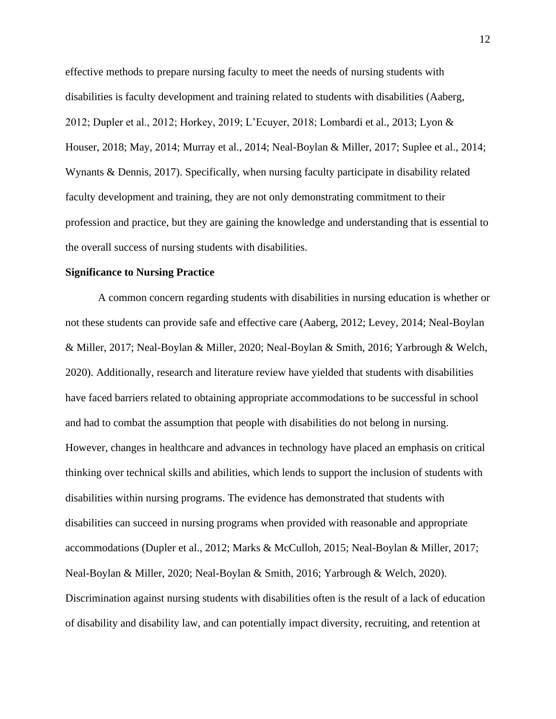effective methods to prepare nursing faculty to meet the needs of nursing students with disabilities is faculty development and training related to students with disabilities (Aaberg, 2012; Dupler et al., 2012; Horkey, 2019; L'Ecuyer, 2018; Lombardi et al., 2013; Lyon & Houser, 2018; May, 2014; Murray et al., 2014; Neal-Boylan & Miller, 2017; Suplee et al., 2014; Wynants & Dennis, 2017). Specifically, when nursing faculty participate in disability related faculty development and training, they are not only demonstrating commitment to their profession and practice, but they are gaining the knowledge and understanding that is essential to the overall success of nursing students with disabilities.

#### **Significance to Nursing Practice**

A common concern regarding students with disabilities in nursing education is whether or not these students can provide safe and effective care (Aaberg, 2012; Levey, 2014; Neal-Boylan & Miller, 2017; Neal-Boylan & Miller, 2020; Neal-Boylan & Smith, 2016; Yarbrough & Welch, 2020). Additionally, research and literature review have yielded that students with disabilities have faced barriers related to obtaining appropriate accommodations to be successful in school and had to combat the assumption that people with disabilities do not belong in nursing. However, changes in healthcare and advances in technology have placed an emphasis on critical thinking over technical skills and abilities, which lends to support the inclusion of students with disabilities within nursing programs. The evidence has demonstrated that students with disabilities can succeed in nursing programs when provided with reasonable and appropriate accommodations (Dupler et al., 2012; Marks & McCulloh, 2015; Neal-Boylan & Miller, 2017; Neal-Boylan & Miller, 2020; Neal-Boylan & Smith, 2016; Yarbrough & Welch, 2020). Discrimination against nursing students with disabilities often is the result of a lack of education of disability and disability law, and can potentially impact diversity, recruiting, and retention at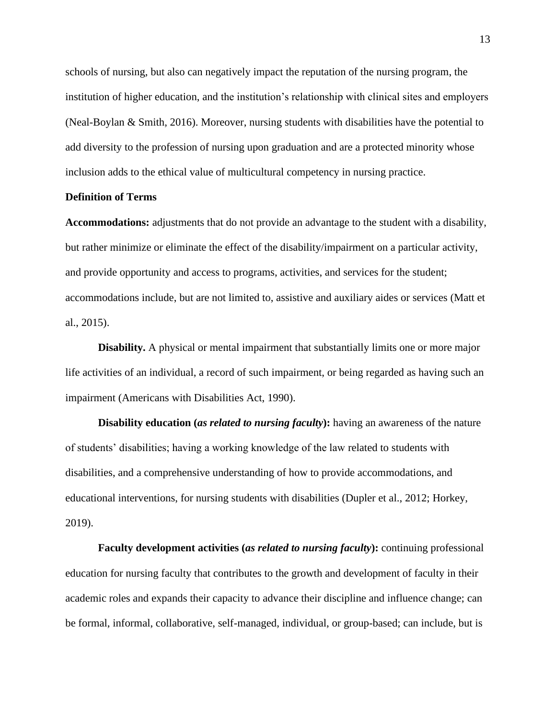schools of nursing, but also can negatively impact the reputation of the nursing program, the institution of higher education, and the institution's relationship with clinical sites and employers (Neal-Boylan & Smith, 2016). Moreover, nursing students with disabilities have the potential to add diversity to the profession of nursing upon graduation and are a protected minority whose inclusion adds to the ethical value of multicultural competency in nursing practice.

#### **Definition of Terms**

**Accommodations:** adjustments that do not provide an advantage to the student with a disability, but rather minimize or eliminate the effect of the disability/impairment on a particular activity, and provide opportunity and access to programs, activities, and services for the student; accommodations include, but are not limited to, assistive and auxiliary aides or services (Matt et al., 2015).

**Disability.** A physical or mental impairment that substantially limits one or more major life activities of an individual, a record of such impairment, or being regarded as having such an impairment (Americans with Disabilities Act, 1990).

**Disability education (***as related to nursing faculty*): having an awareness of the nature of students' disabilities; having a working knowledge of the law related to students with disabilities, and a comprehensive understanding of how to provide accommodations, and educational interventions, for nursing students with disabilities (Dupler et al., 2012; Horkey, 2019).

**Faculty development activities (***as related to nursing faculty***):** continuing professional education for nursing faculty that contributes to the growth and development of faculty in their academic roles and expands their capacity to advance their discipline and influence change; can be formal, informal, collaborative, self-managed, individual, or group-based; can include, but is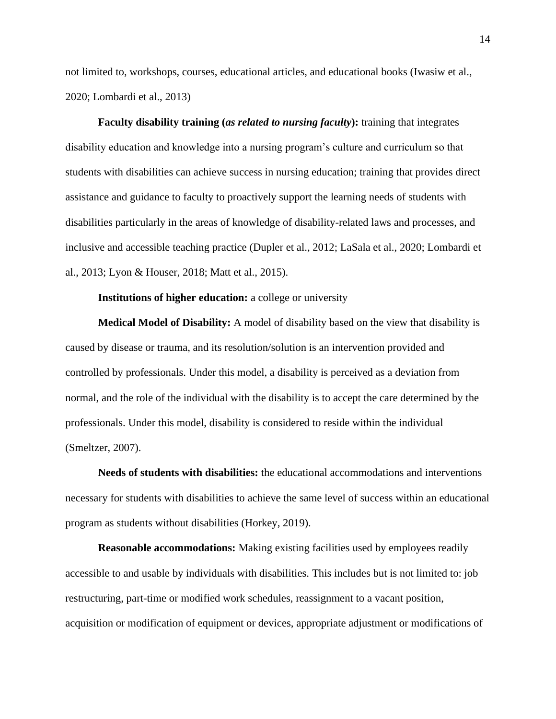not limited to, workshops, courses, educational articles, and educational books (Iwasiw et al., 2020; Lombardi et al., 2013)

**Faculty disability training (***as related to nursing faculty***):** training that integrates disability education and knowledge into a nursing program's culture and curriculum so that students with disabilities can achieve success in nursing education; training that provides direct assistance and guidance to faculty to proactively support the learning needs of students with disabilities particularly in the areas of knowledge of disability-related laws and processes, and inclusive and accessible teaching practice (Dupler et al., 2012; LaSala et al., 2020; Lombardi et al., 2013; Lyon & Houser, 2018; Matt et al., 2015).

#### **Institutions of higher education:** a college or university

**Medical Model of Disability:** A model of disability based on the view that disability is caused by disease or trauma, and its resolution/solution is an intervention provided and controlled by professionals. Under this model, a disability is perceived as a deviation from normal, and the role of the individual with the disability is to accept the care determined by the professionals. Under this model, disability is considered to reside within the individual (Smeltzer, 2007).

**Needs of students with disabilities:** the educational accommodations and interventions necessary for students with disabilities to achieve the same level of success within an educational program as students without disabilities (Horkey, 2019).

**Reasonable accommodations:** Making existing facilities used by employees readily accessible to and usable by individuals with disabilities. This includes but is not limited to: job restructuring, part-time or modified work schedules, reassignment to a vacant position, acquisition or modification of equipment or devices, appropriate adjustment or modifications of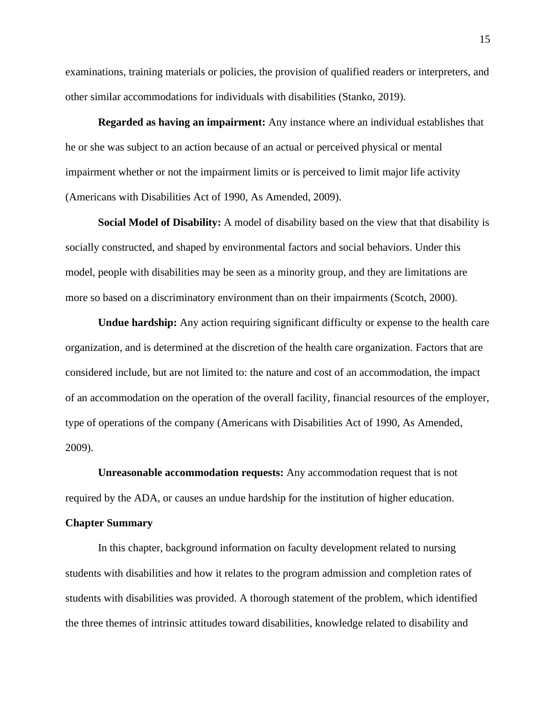examinations, training materials or policies, the provision of qualified readers or interpreters, and other similar accommodations for individuals with disabilities (Stanko, 2019).

**Regarded as having an impairment:** Any instance where an individual establishes that he or she was subject to an action because of an actual or perceived physical or mental impairment whether or not the impairment limits or is perceived to limit major life activity (Americans with Disabilities Act of 1990, As Amended, 2009).

**Social Model of Disability:** A model of disability based on the view that that disability is socially constructed, and shaped by environmental factors and social behaviors. Under this model, people with disabilities may be seen as a minority group, and they are limitations are more so based on a discriminatory environment than on their impairments (Scotch, 2000).

**Undue hardship:** Any action requiring significant difficulty or expense to the health care organization, and is determined at the discretion of the health care organization. Factors that are considered include, but are not limited to: the nature and cost of an accommodation, the impact of an accommodation on the operation of the overall facility, financial resources of the employer, type of operations of the company (Americans with Disabilities Act of 1990, As Amended, 2009).

**Unreasonable accommodation requests:** Any accommodation request that is not required by the ADA, or causes an undue hardship for the institution of higher education.

#### **Chapter Summary**

In this chapter, background information on faculty development related to nursing students with disabilities and how it relates to the program admission and completion rates of students with disabilities was provided. A thorough statement of the problem, which identified the three themes of intrinsic attitudes toward disabilities, knowledge related to disability and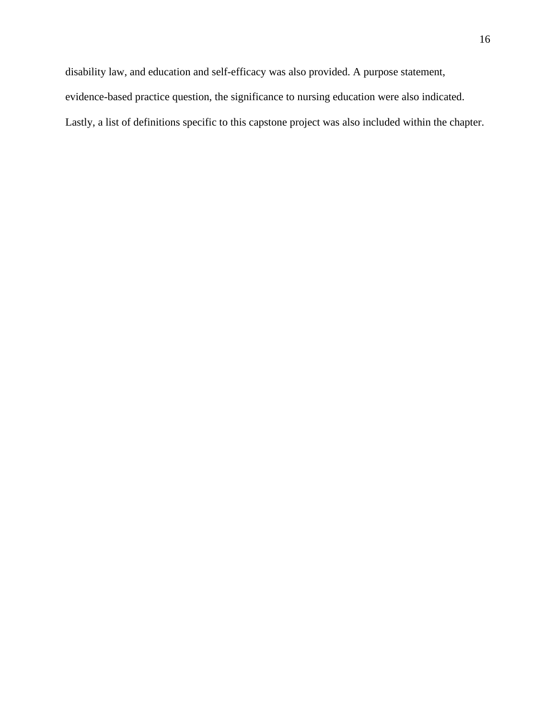disability law, and education and self-efficacy was also provided. A purpose statement, evidence-based practice question, the significance to nursing education were also indicated. Lastly, a list of definitions specific to this capstone project was also included within the chapter.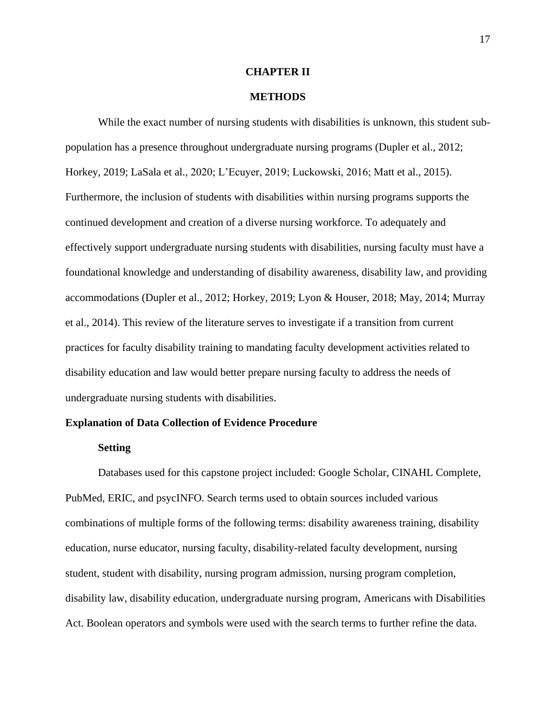#### **CHAPTER II**

#### **METHODS**

While the exact number of nursing students with disabilities is unknown, this student subpopulation has a presence throughout undergraduate nursing programs (Dupler et al., 2012; Horkey, 2019; LaSala et al., 2020; L'Ecuyer, 2019; Luckowski, 2016; Matt et al., 2015). Furthermore, the inclusion of students with disabilities within nursing programs supports the continued development and creation of a diverse nursing workforce. To adequately and effectively support undergraduate nursing students with disabilities, nursing faculty must have a foundational knowledge and understanding of disability awareness, disability law, and providing accommodations (Dupler et al., 2012; Horkey, 2019; Lyon & Houser, 2018; May, 2014; Murray et al., 2014). This review of the literature serves to investigate if a transition from current practices for faculty disability training to mandating faculty development activities related to disability education and law would better prepare nursing faculty to address the needs of undergraduate nursing students with disabilities.

#### **Explanation of Data Collection of Evidence Procedure**

#### **Setting**

Databases used for this capstone project included: Google Scholar, CINAHL Complete, PubMed, ERIC, and psycINFO. Search terms used to obtain sources included various combinations of multiple forms of the following terms: disability awareness training, disability education, nurse educator, nursing faculty, disability-related faculty development, nursing student, student with disability, nursing program admission, nursing program completion, disability law, disability education, undergraduate nursing program, Americans with Disabilities Act. Boolean operators and symbols were used with the search terms to further refine the data.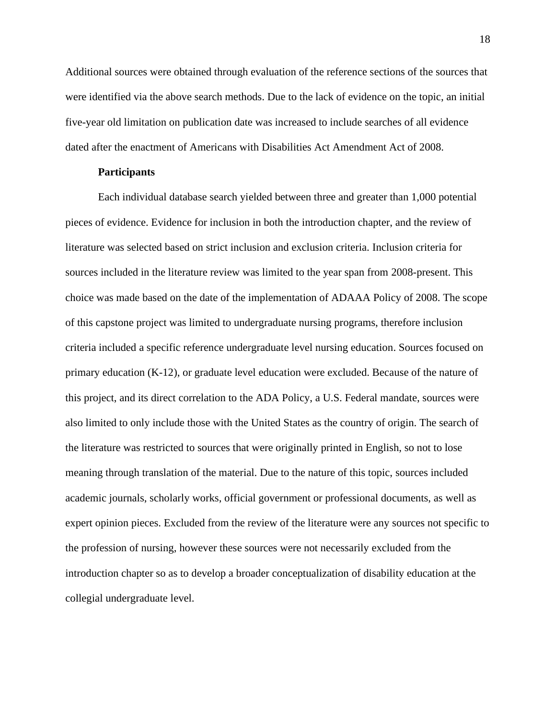Additional sources were obtained through evaluation of the reference sections of the sources that were identified via the above search methods. Due to the lack of evidence on the topic, an initial five-year old limitation on publication date was increased to include searches of all evidence dated after the enactment of Americans with Disabilities Act Amendment Act of 2008.

#### **Participants**

Each individual database search yielded between three and greater than 1,000 potential pieces of evidence. Evidence for inclusion in both the introduction chapter, and the review of literature was selected based on strict inclusion and exclusion criteria. Inclusion criteria for sources included in the literature review was limited to the year span from 2008-present. This choice was made based on the date of the implementation of ADAAA Policy of 2008. The scope of this capstone project was limited to undergraduate nursing programs, therefore inclusion criteria included a specific reference undergraduate level nursing education. Sources focused on primary education (K-12), or graduate level education were excluded. Because of the nature of this project, and its direct correlation to the ADA Policy, a U.S. Federal mandate, sources were also limited to only include those with the United States as the country of origin. The search of the literature was restricted to sources that were originally printed in English, so not to lose meaning through translation of the material. Due to the nature of this topic, sources included academic journals, scholarly works, official government or professional documents, as well as expert opinion pieces. Excluded from the review of the literature were any sources not specific to the profession of nursing, however these sources were not necessarily excluded from the introduction chapter so as to develop a broader conceptualization of disability education at the collegial undergraduate level.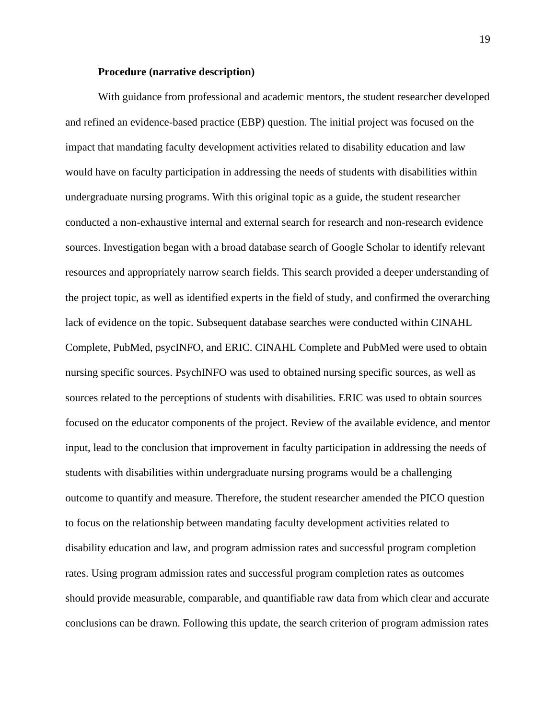#### **Procedure (narrative description)**

With guidance from professional and academic mentors, the student researcher developed and refined an evidence-based practice (EBP) question. The initial project was focused on the impact that mandating faculty development activities related to disability education and law would have on faculty participation in addressing the needs of students with disabilities within undergraduate nursing programs. With this original topic as a guide, the student researcher conducted a non-exhaustive internal and external search for research and non-research evidence sources. Investigation began with a broad database search of Google Scholar to identify relevant resources and appropriately narrow search fields. This search provided a deeper understanding of the project topic, as well as identified experts in the field of study, and confirmed the overarching lack of evidence on the topic. Subsequent database searches were conducted within CINAHL Complete, PubMed, psycINFO, and ERIC. CINAHL Complete and PubMed were used to obtain nursing specific sources. PsychINFO was used to obtained nursing specific sources, as well as sources related to the perceptions of students with disabilities. ERIC was used to obtain sources focused on the educator components of the project. Review of the available evidence, and mentor input, lead to the conclusion that improvement in faculty participation in addressing the needs of students with disabilities within undergraduate nursing programs would be a challenging outcome to quantify and measure. Therefore, the student researcher amended the PICO question to focus on the relationship between mandating faculty development activities related to disability education and law, and program admission rates and successful program completion rates. Using program admission rates and successful program completion rates as outcomes should provide measurable, comparable, and quantifiable raw data from which clear and accurate conclusions can be drawn. Following this update, the search criterion of program admission rates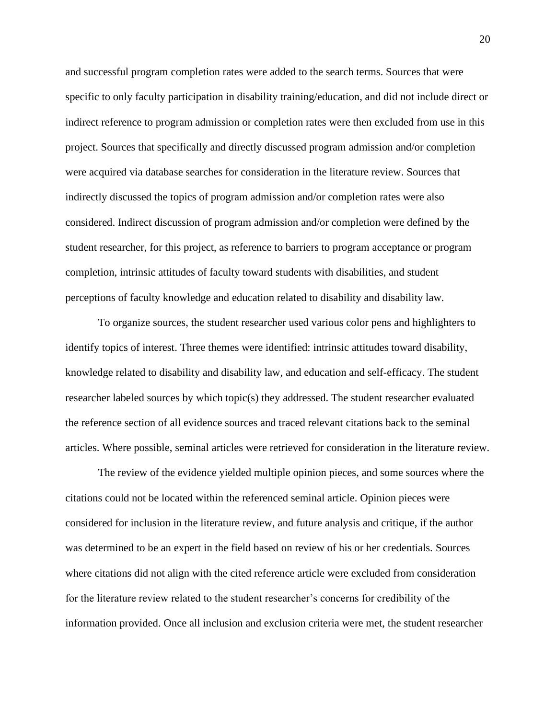and successful program completion rates were added to the search terms. Sources that were specific to only faculty participation in disability training/education, and did not include direct or indirect reference to program admission or completion rates were then excluded from use in this project. Sources that specifically and directly discussed program admission and/or completion were acquired via database searches for consideration in the literature review. Sources that indirectly discussed the topics of program admission and/or completion rates were also considered. Indirect discussion of program admission and/or completion were defined by the student researcher, for this project, as reference to barriers to program acceptance or program completion, intrinsic attitudes of faculty toward students with disabilities, and student perceptions of faculty knowledge and education related to disability and disability law.

To organize sources, the student researcher used various color pens and highlighters to identify topics of interest. Three themes were identified: intrinsic attitudes toward disability, knowledge related to disability and disability law, and education and self-efficacy. The student researcher labeled sources by which topic(s) they addressed. The student researcher evaluated the reference section of all evidence sources and traced relevant citations back to the seminal articles. Where possible, seminal articles were retrieved for consideration in the literature review.

The review of the evidence yielded multiple opinion pieces, and some sources where the citations could not be located within the referenced seminal article. Opinion pieces were considered for inclusion in the literature review, and future analysis and critique, if the author was determined to be an expert in the field based on review of his or her credentials. Sources where citations did not align with the cited reference article were excluded from consideration for the literature review related to the student researcher's concerns for credibility of the information provided. Once all inclusion and exclusion criteria were met, the student researcher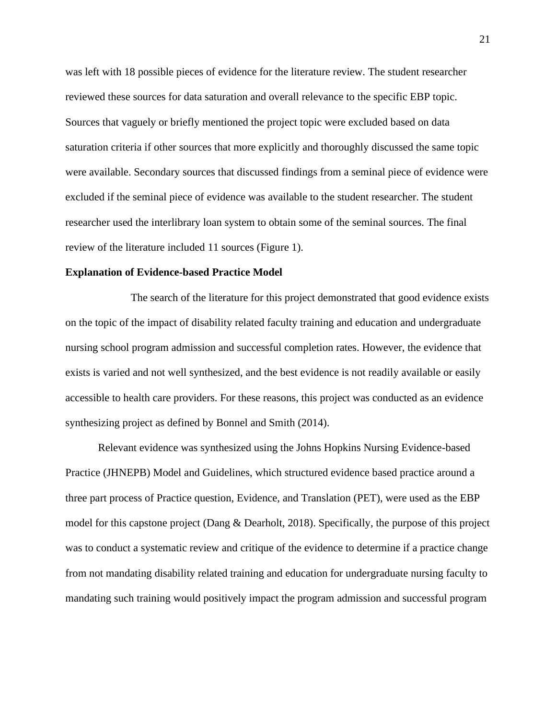was left with 18 possible pieces of evidence for the literature review. The student researcher reviewed these sources for data saturation and overall relevance to the specific EBP topic. Sources that vaguely or briefly mentioned the project topic were excluded based on data saturation criteria if other sources that more explicitly and thoroughly discussed the same topic were available. Secondary sources that discussed findings from a seminal piece of evidence were excluded if the seminal piece of evidence was available to the student researcher. The student researcher used the interlibrary loan system to obtain some of the seminal sources. The final review of the literature included 11 sources (Figure 1).

#### **Explanation of Evidence-based Practice Model**

The search of the literature for this project demonstrated that good evidence exists on the topic of the impact of disability related faculty training and education and undergraduate nursing school program admission and successful completion rates. However, the evidence that exists is varied and not well synthesized, and the best evidence is not readily available or easily accessible to health care providers. For these reasons, this project was conducted as an evidence synthesizing project as defined by Bonnel and Smith (2014).

Relevant evidence was synthesized using the Johns Hopkins Nursing Evidence-based Practice (JHNEPB) Model and Guidelines, which structured evidence based practice around a three part process of Practice question, Evidence, and Translation (PET), were used as the EBP model for this capstone project (Dang & Dearholt, 2018). Specifically, the purpose of this project was to conduct a systematic review and critique of the evidence to determine if a practice change from not mandating disability related training and education for undergraduate nursing faculty to mandating such training would positively impact the program admission and successful program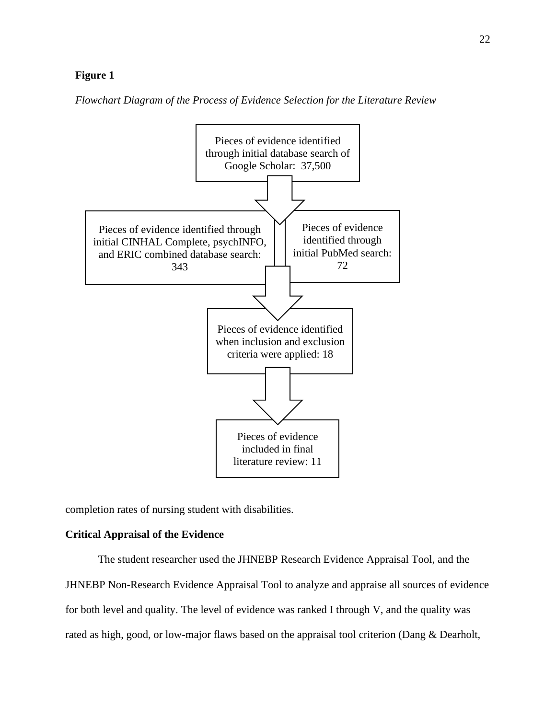#### **Figure 1**

*Flowchart Diagram of the Process of Evidence Selection for the Literature Review*



completion rates of nursing student with disabilities.

#### **Critical Appraisal of the Evidence**

The student researcher used the JHNEBP Research Evidence Appraisal Tool, and the JHNEBP Non-Research Evidence Appraisal Tool to analyze and appraise all sources of evidence for both level and quality. The level of evidence was ranked I through V, and the quality was rated as high, good, or low-major flaws based on the appraisal tool criterion (Dang & Dearholt,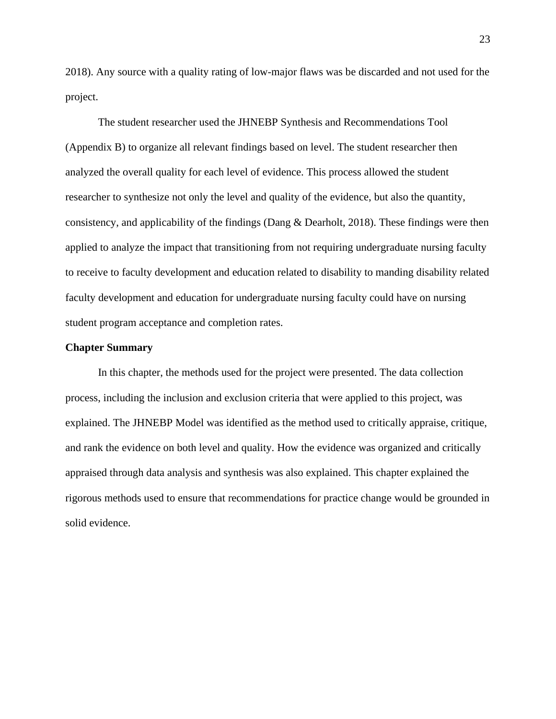2018). Any source with a quality rating of low-major flaws was be discarded and not used for the project.

The student researcher used the JHNEBP Synthesis and Recommendations Tool (Appendix B) to organize all relevant findings based on level. The student researcher then analyzed the overall quality for each level of evidence. This process allowed the student researcher to synthesize not only the level and quality of the evidence, but also the quantity, consistency, and applicability of the findings (Dang & Dearholt, 2018). These findings were then applied to analyze the impact that transitioning from not requiring undergraduate nursing faculty to receive to faculty development and education related to disability to manding disability related faculty development and education for undergraduate nursing faculty could have on nursing student program acceptance and completion rates.

#### **Chapter Summary**

In this chapter, the methods used for the project were presented. The data collection process, including the inclusion and exclusion criteria that were applied to this project, was explained. The JHNEBP Model was identified as the method used to critically appraise, critique, and rank the evidence on both level and quality. How the evidence was organized and critically appraised through data analysis and synthesis was also explained. This chapter explained the rigorous methods used to ensure that recommendations for practice change would be grounded in solid evidence.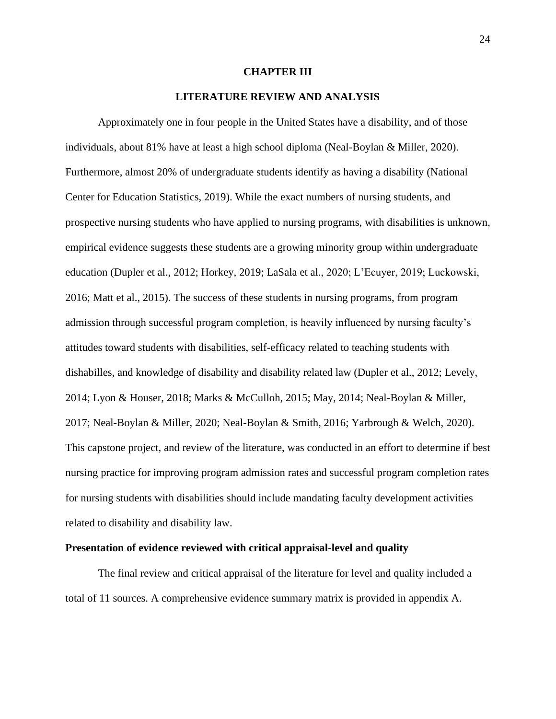#### **CHAPTER III**

#### **LITERATURE REVIEW AND ANALYSIS**

Approximately one in four people in the United States have a disability, and of those individuals, about 81% have at least a high school diploma (Neal-Boylan & Miller, 2020). Furthermore, almost 20% of undergraduate students identify as having a disability (National Center for Education Statistics, 2019). While the exact numbers of nursing students, and prospective nursing students who have applied to nursing programs, with disabilities is unknown, empirical evidence suggests these students are a growing minority group within undergraduate education (Dupler et al., 2012; Horkey, 2019; LaSala et al., 2020; L'Ecuyer, 2019; Luckowski, 2016; Matt et al., 2015). The success of these students in nursing programs, from program admission through successful program completion, is heavily influenced by nursing faculty's attitudes toward students with disabilities, self-efficacy related to teaching students with dishabilles, and knowledge of disability and disability related law (Dupler et al., 2012; Levely, 2014; Lyon & Houser, 2018; Marks & McCulloh, 2015; May, 2014; Neal-Boylan & Miller, 2017; Neal-Boylan & Miller, 2020; Neal-Boylan & Smith, 2016; Yarbrough & Welch, 2020). This capstone project, and review of the literature, was conducted in an effort to determine if best nursing practice for improving program admission rates and successful program completion rates for nursing students with disabilities should include mandating faculty development activities related to disability and disability law.

#### **Presentation of evidence reviewed with critical appraisal-level and quality**

The final review and critical appraisal of the literature for level and quality included a total of 11 sources. A comprehensive evidence summary matrix is provided in appendix A.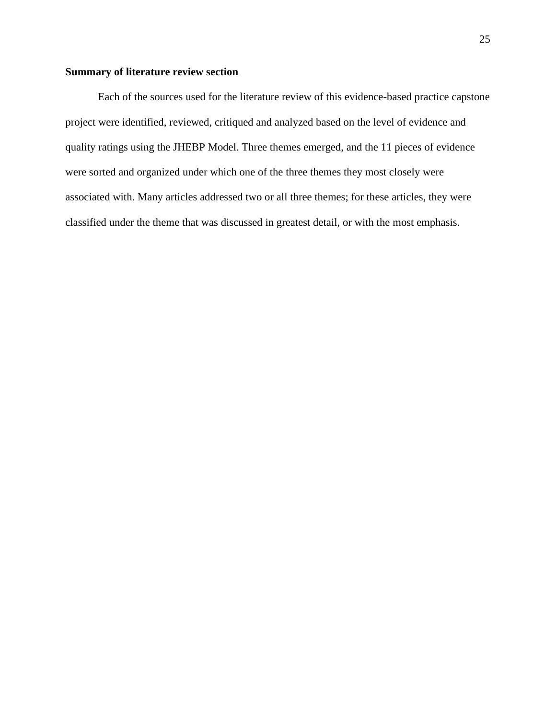# **Summary of literature review section**

Each of the sources used for the literature review of this evidence-based practice capstone project were identified, reviewed, critiqued and analyzed based on the level of evidence and quality ratings using the JHEBP Model. Three themes emerged, and the 11 pieces of evidence were sorted and organized under which one of the three themes they most closely were associated with. Many articles addressed two or all three themes; for these articles, they were classified under the theme that was discussed in greatest detail, or with the most emphasis.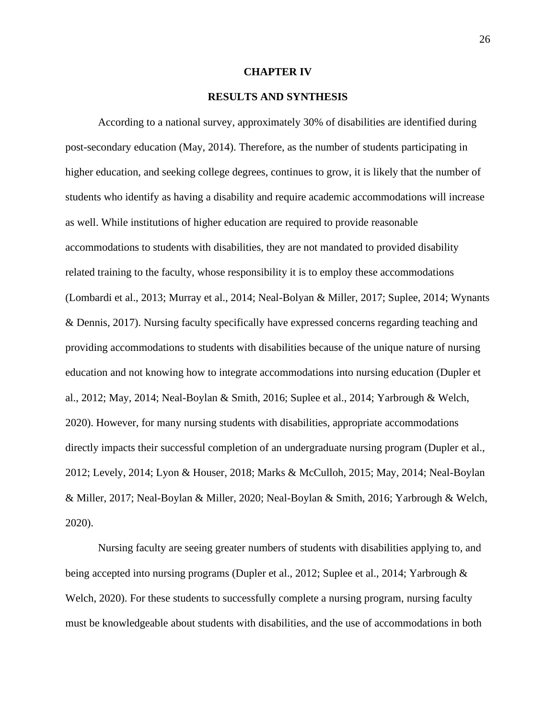### **CHAPTER IV**

## **RESULTS AND SYNTHESIS**

According to a national survey, approximately 30% of disabilities are identified during post-secondary education (May, 2014). Therefore, as the number of students participating in higher education, and seeking college degrees, continues to grow, it is likely that the number of students who identify as having a disability and require academic accommodations will increase as well. While institutions of higher education are required to provide reasonable accommodations to students with disabilities, they are not mandated to provided disability related training to the faculty, whose responsibility it is to employ these accommodations (Lombardi et al., 2013; Murray et al., 2014; Neal-Bolyan & Miller, 2017; Suplee, 2014; Wynants & Dennis, 2017). Nursing faculty specifically have expressed concerns regarding teaching and providing accommodations to students with disabilities because of the unique nature of nursing education and not knowing how to integrate accommodations into nursing education (Dupler et al., 2012; May, 2014; Neal-Boylan & Smith, 2016; Suplee et al., 2014; Yarbrough & Welch, 2020). However, for many nursing students with disabilities, appropriate accommodations directly impacts their successful completion of an undergraduate nursing program (Dupler et al., 2012; Levely, 2014; Lyon & Houser, 2018; Marks & McCulloh, 2015; May, 2014; Neal-Boylan & Miller, 2017; Neal-Boylan & Miller, 2020; Neal-Boylan & Smith, 2016; Yarbrough & Welch, 2020).

Nursing faculty are seeing greater numbers of students with disabilities applying to, and being accepted into nursing programs (Dupler et al., 2012; Suplee et al., 2014; Yarbrough & Welch, 2020). For these students to successfully complete a nursing program, nursing faculty must be knowledgeable about students with disabilities, and the use of accommodations in both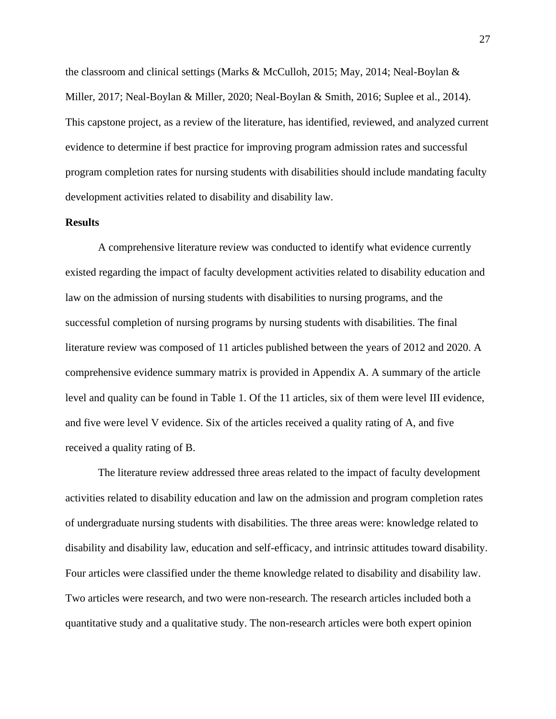the classroom and clinical settings (Marks & McCulloh, 2015; May, 2014; Neal-Boylan & Miller, 2017; Neal-Boylan & Miller, 2020; Neal-Boylan & Smith, 2016; Suplee et al., 2014). This capstone project, as a review of the literature, has identified, reviewed, and analyzed current evidence to determine if best practice for improving program admission rates and successful program completion rates for nursing students with disabilities should include mandating faculty development activities related to disability and disability law.

# **Results**

A comprehensive literature review was conducted to identify what evidence currently existed regarding the impact of faculty development activities related to disability education and law on the admission of nursing students with disabilities to nursing programs, and the successful completion of nursing programs by nursing students with disabilities. The final literature review was composed of 11 articles published between the years of 2012 and 2020. A comprehensive evidence summary matrix is provided in Appendix A. A summary of the article level and quality can be found in Table 1. Of the 11 articles, six of them were level III evidence, and five were level V evidence. Six of the articles received a quality rating of A, and five received a quality rating of B.

The literature review addressed three areas related to the impact of faculty development activities related to disability education and law on the admission and program completion rates of undergraduate nursing students with disabilities. The three areas were: knowledge related to disability and disability law, education and self-efficacy, and intrinsic attitudes toward disability. Four articles were classified under the theme knowledge related to disability and disability law. Two articles were research, and two were non-research. The research articles included both a quantitative study and a qualitative study. The non-research articles were both expert opinion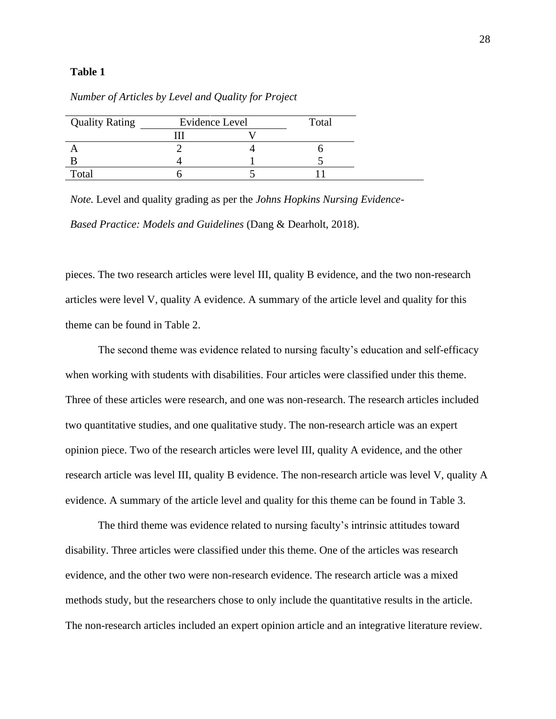# **Table 1**

| Total | <b>Quality Rating</b> | Evidence Level | Total |
|-------|-----------------------|----------------|-------|
|       |                       |                |       |
|       |                       |                |       |
|       |                       |                |       |
|       |                       |                |       |

*Number of Articles by Level and Quality for Project*

*Note.* Level and quality grading as per the *Johns Hopkins Nursing Evidence-Based Practice: Models and Guidelines* (Dang & Dearholt, 2018).

pieces. The two research articles were level III, quality B evidence, and the two non-research articles were level V, quality A evidence. A summary of the article level and quality for this theme can be found in Table 2.

The second theme was evidence related to nursing faculty's education and self-efficacy when working with students with disabilities. Four articles were classified under this theme. Three of these articles were research, and one was non-research. The research articles included two quantitative studies, and one qualitative study. The non-research article was an expert opinion piece. Two of the research articles were level III, quality A evidence, and the other research article was level III, quality B evidence. The non-research article was level V, quality A evidence. A summary of the article level and quality for this theme can be found in Table 3.

The third theme was evidence related to nursing faculty's intrinsic attitudes toward disability. Three articles were classified under this theme. One of the articles was research evidence, and the other two were non-research evidence. The research article was a mixed methods study, but the researchers chose to only include the quantitative results in the article. The non-research articles included an expert opinion article and an integrative literature review.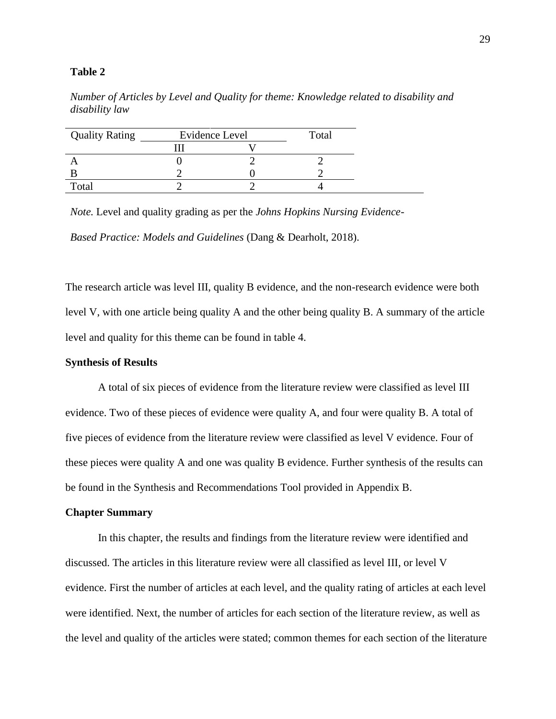# **Table 2**

*Number of Articles by Level and Quality for theme: Knowledge related to disability and disability law*

| <b>Quality Rating</b> | Evidence Level | Total |
|-----------------------|----------------|-------|
|                       |                |       |
|                       |                |       |
|                       |                |       |
| Total                 |                |       |

*Note.* Level and quality grading as per the *Johns Hopkins Nursing Evidence-*

*Based Practice: Models and Guidelines* (Dang & Dearholt, 2018).

The research article was level III, quality B evidence, and the non-research evidence were both level V, with one article being quality A and the other being quality B. A summary of the article level and quality for this theme can be found in table 4.

# **Synthesis of Results**

A total of six pieces of evidence from the literature review were classified as level III evidence. Two of these pieces of evidence were quality A, and four were quality B. A total of five pieces of evidence from the literature review were classified as level V evidence. Four of these pieces were quality A and one was quality B evidence. Further synthesis of the results can be found in the Synthesis and Recommendations Tool provided in Appendix B.

## **Chapter Summary**

In this chapter, the results and findings from the literature review were identified and discussed. The articles in this literature review were all classified as level III, or level V evidence. First the number of articles at each level, and the quality rating of articles at each level were identified. Next, the number of articles for each section of the literature review, as well as the level and quality of the articles were stated; common themes for each section of the literature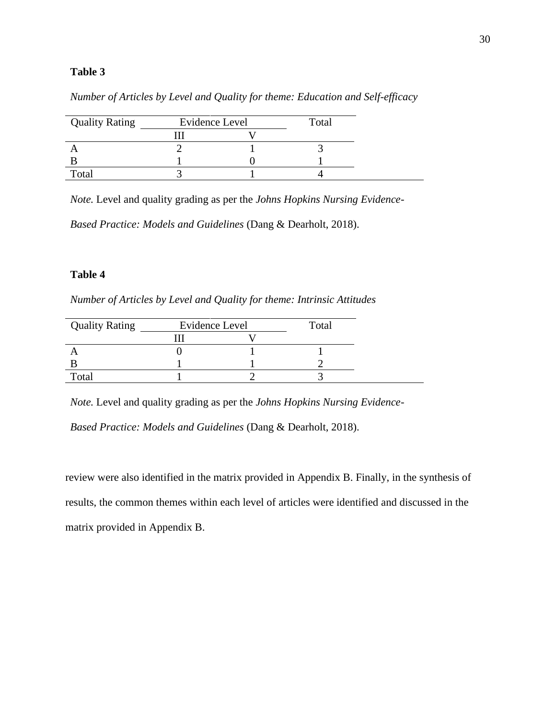# **Table 3**

| <b>Quality Rating</b> | <b>Evidence Level</b> | Total |
|-----------------------|-----------------------|-------|
|                       |                       |       |
|                       |                       |       |
|                       |                       |       |
| Total                 |                       |       |

*Number of Articles by Level and Quality for theme: Education and Self-efficacy*

*Note.* Level and quality grading as per the *Johns Hopkins Nursing Evidence-*

*Based Practice: Models and Guidelines* (Dang & Dearholt, 2018).

# **Table 4**

*Number of Articles by Level and Quality for theme: Intrinsic Attitudes*

| <b>Quality Rating</b> | Evidence Level | Total |
|-----------------------|----------------|-------|
|                       |                |       |
|                       |                |       |
|                       |                |       |
| Total                 |                |       |

*Note.* Level and quality grading as per the *Johns Hopkins Nursing Evidence-*

*Based Practice: Models and Guidelines* (Dang & Dearholt, 2018).

review were also identified in the matrix provided in Appendix B. Finally, in the synthesis of results, the common themes within each level of articles were identified and discussed in the matrix provided in Appendix B.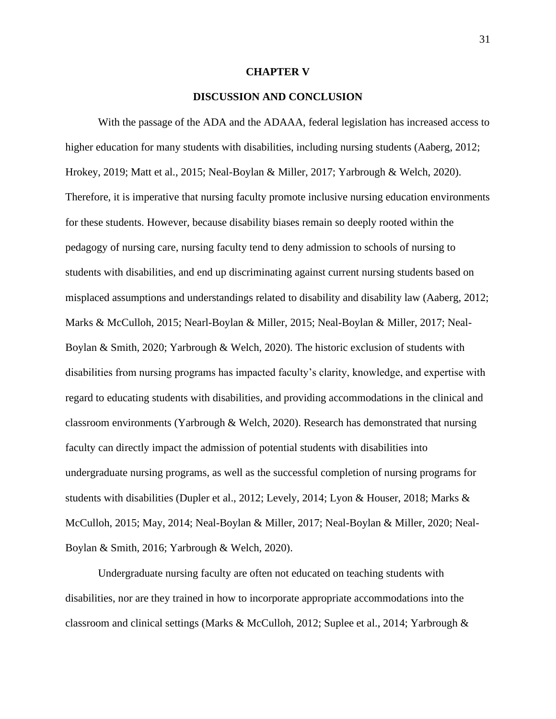### **CHAPTER V**

# **DISCUSSION AND CONCLUSION**

With the passage of the ADA and the ADAAA, federal legislation has increased access to higher education for many students with disabilities, including nursing students (Aaberg, 2012; Hrokey, 2019; Matt et al., 2015; Neal-Boylan & Miller, 2017; Yarbrough & Welch, 2020). Therefore, it is imperative that nursing faculty promote inclusive nursing education environments for these students. However, because disability biases remain so deeply rooted within the pedagogy of nursing care, nursing faculty tend to deny admission to schools of nursing to students with disabilities, and end up discriminating against current nursing students based on misplaced assumptions and understandings related to disability and disability law (Aaberg, 2012; Marks & McCulloh, 2015; Nearl-Boylan & Miller, 2015; Neal-Boylan & Miller, 2017; Neal-Boylan & Smith, 2020; Yarbrough & Welch, 2020). The historic exclusion of students with disabilities from nursing programs has impacted faculty's clarity, knowledge, and expertise with regard to educating students with disabilities, and providing accommodations in the clinical and classroom environments (Yarbrough & Welch, 2020). Research has demonstrated that nursing faculty can directly impact the admission of potential students with disabilities into undergraduate nursing programs, as well as the successful completion of nursing programs for students with disabilities (Dupler et al., 2012; Levely, 2014; Lyon & Houser, 2018; Marks & McCulloh, 2015; May, 2014; Neal-Boylan & Miller, 2017; Neal-Boylan & Miller, 2020; Neal-Boylan & Smith, 2016; Yarbrough & Welch, 2020).

Undergraduate nursing faculty are often not educated on teaching students with disabilities, nor are they trained in how to incorporate appropriate accommodations into the classroom and clinical settings (Marks & McCulloh, 2012; Suplee et al., 2014; Yarbrough &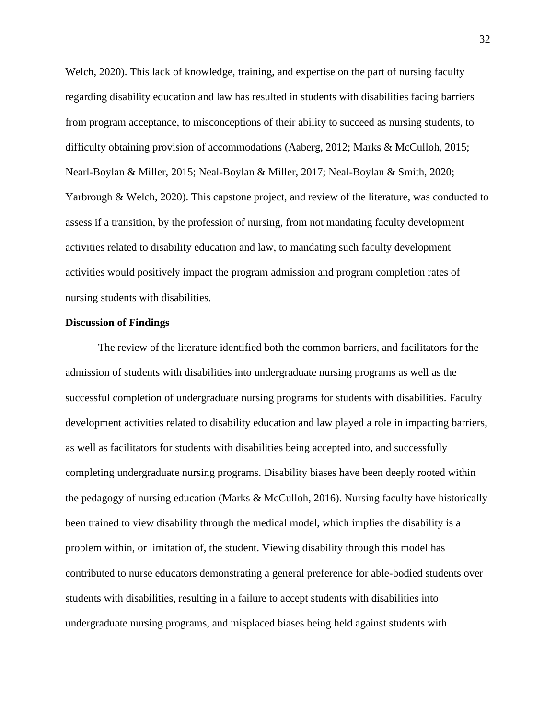Welch, 2020). This lack of knowledge, training, and expertise on the part of nursing faculty regarding disability education and law has resulted in students with disabilities facing barriers from program acceptance, to misconceptions of their ability to succeed as nursing students, to difficulty obtaining provision of accommodations (Aaberg, 2012; Marks & McCulloh, 2015; Nearl-Boylan & Miller, 2015; Neal-Boylan & Miller, 2017; Neal-Boylan & Smith, 2020; Yarbrough & Welch, 2020). This capstone project, and review of the literature, was conducted to assess if a transition, by the profession of nursing, from not mandating faculty development activities related to disability education and law, to mandating such faculty development activities would positively impact the program admission and program completion rates of nursing students with disabilities.

#### **Discussion of Findings**

The review of the literature identified both the common barriers, and facilitators for the admission of students with disabilities into undergraduate nursing programs as well as the successful completion of undergraduate nursing programs for students with disabilities. Faculty development activities related to disability education and law played a role in impacting barriers, as well as facilitators for students with disabilities being accepted into, and successfully completing undergraduate nursing programs. Disability biases have been deeply rooted within the pedagogy of nursing education (Marks & McCulloh, 2016). Nursing faculty have historically been trained to view disability through the medical model, which implies the disability is a problem within, or limitation of, the student. Viewing disability through this model has contributed to nurse educators demonstrating a general preference for able-bodied students over students with disabilities, resulting in a failure to accept students with disabilities into undergraduate nursing programs, and misplaced biases being held against students with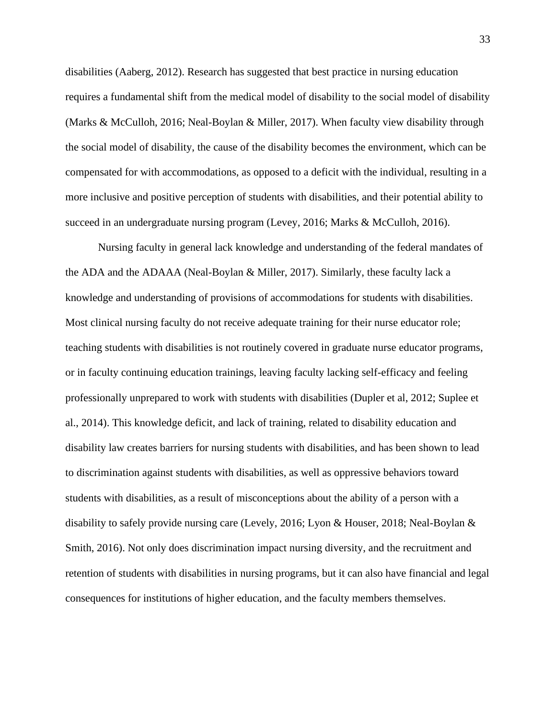disabilities (Aaberg, 2012). Research has suggested that best practice in nursing education requires a fundamental shift from the medical model of disability to the social model of disability (Marks & McCulloh, 2016; Neal-Boylan & Miller, 2017). When faculty view disability through the social model of disability, the cause of the disability becomes the environment, which can be compensated for with accommodations, as opposed to a deficit with the individual, resulting in a more inclusive and positive perception of students with disabilities, and their potential ability to succeed in an undergraduate nursing program (Levey, 2016; Marks & McCulloh, 2016).

Nursing faculty in general lack knowledge and understanding of the federal mandates of the ADA and the ADAAA (Neal-Boylan & Miller, 2017). Similarly, these faculty lack a knowledge and understanding of provisions of accommodations for students with disabilities. Most clinical nursing faculty do not receive adequate training for their nurse educator role; teaching students with disabilities is not routinely covered in graduate nurse educator programs, or in faculty continuing education trainings, leaving faculty lacking self-efficacy and feeling professionally unprepared to work with students with disabilities (Dupler et al, 2012; Suplee et al., 2014). This knowledge deficit, and lack of training, related to disability education and disability law creates barriers for nursing students with disabilities, and has been shown to lead to discrimination against students with disabilities, as well as oppressive behaviors toward students with disabilities, as a result of misconceptions about the ability of a person with a disability to safely provide nursing care (Levely, 2016; Lyon & Houser, 2018; Neal-Boylan & Smith, 2016). Not only does discrimination impact nursing diversity, and the recruitment and retention of students with disabilities in nursing programs, but it can also have financial and legal consequences for institutions of higher education, and the faculty members themselves.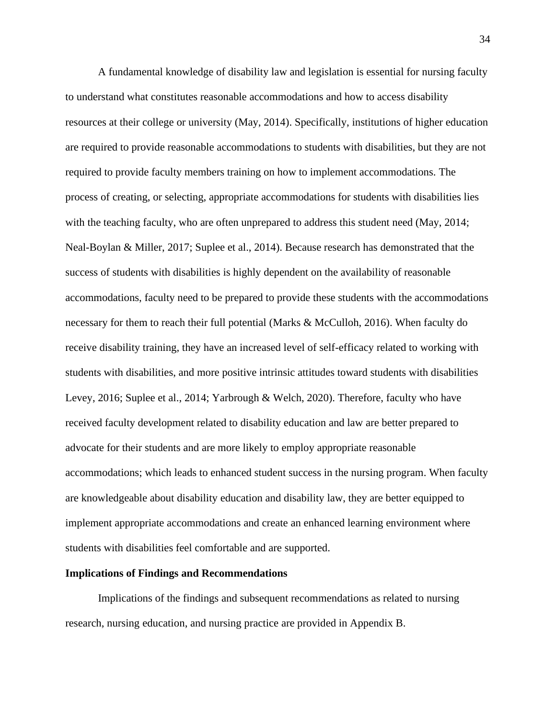A fundamental knowledge of disability law and legislation is essential for nursing faculty to understand what constitutes reasonable accommodations and how to access disability resources at their college or university (May, 2014). Specifically, institutions of higher education are required to provide reasonable accommodations to students with disabilities, but they are not required to provide faculty members training on how to implement accommodations. The process of creating, or selecting, appropriate accommodations for students with disabilities lies with the teaching faculty, who are often unprepared to address this student need (May, 2014; Neal-Boylan & Miller, 2017; Suplee et al., 2014). Because research has demonstrated that the success of students with disabilities is highly dependent on the availability of reasonable accommodations, faculty need to be prepared to provide these students with the accommodations necessary for them to reach their full potential (Marks & McCulloh, 2016). When faculty do receive disability training, they have an increased level of self-efficacy related to working with students with disabilities, and more positive intrinsic attitudes toward students with disabilities Levey, 2016; Suplee et al., 2014; Yarbrough & Welch, 2020). Therefore, faculty who have received faculty development related to disability education and law are better prepared to advocate for their students and are more likely to employ appropriate reasonable accommodations; which leads to enhanced student success in the nursing program. When faculty are knowledgeable about disability education and disability law, they are better equipped to implement appropriate accommodations and create an enhanced learning environment where students with disabilities feel comfortable and are supported.

### **Implications of Findings and Recommendations**

Implications of the findings and subsequent recommendations as related to nursing research, nursing education, and nursing practice are provided in Appendix B.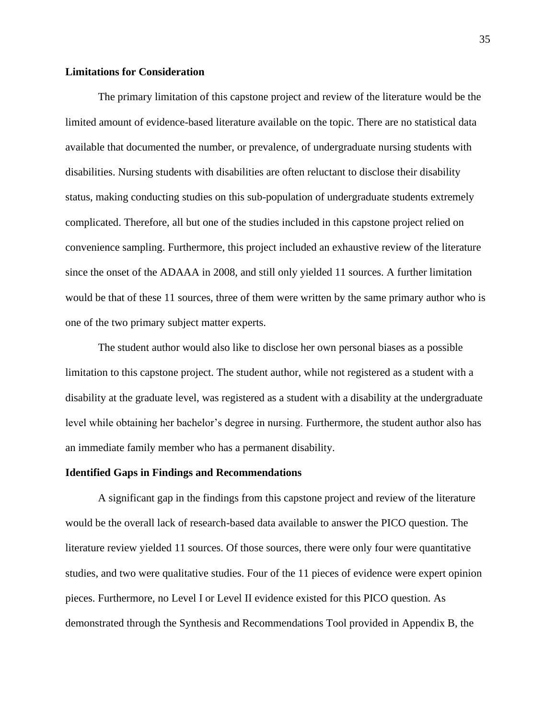# **Limitations for Consideration**

The primary limitation of this capstone project and review of the literature would be the limited amount of evidence-based literature available on the topic. There are no statistical data available that documented the number, or prevalence, of undergraduate nursing students with disabilities. Nursing students with disabilities are often reluctant to disclose their disability status, making conducting studies on this sub-population of undergraduate students extremely complicated. Therefore, all but one of the studies included in this capstone project relied on convenience sampling. Furthermore, this project included an exhaustive review of the literature since the onset of the ADAAA in 2008, and still only yielded 11 sources. A further limitation would be that of these 11 sources, three of them were written by the same primary author who is one of the two primary subject matter experts.

The student author would also like to disclose her own personal biases as a possible limitation to this capstone project. The student author, while not registered as a student with a disability at the graduate level, was registered as a student with a disability at the undergraduate level while obtaining her bachelor's degree in nursing. Furthermore, the student author also has an immediate family member who has a permanent disability.

# **Identified Gaps in Findings and Recommendations**

A significant gap in the findings from this capstone project and review of the literature would be the overall lack of research-based data available to answer the PICO question. The literature review yielded 11 sources. Of those sources, there were only four were quantitative studies, and two were qualitative studies. Four of the 11 pieces of evidence were expert opinion pieces. Furthermore, no Level I or Level II evidence existed for this PICO question. As demonstrated through the Synthesis and Recommendations Tool provided in Appendix B, the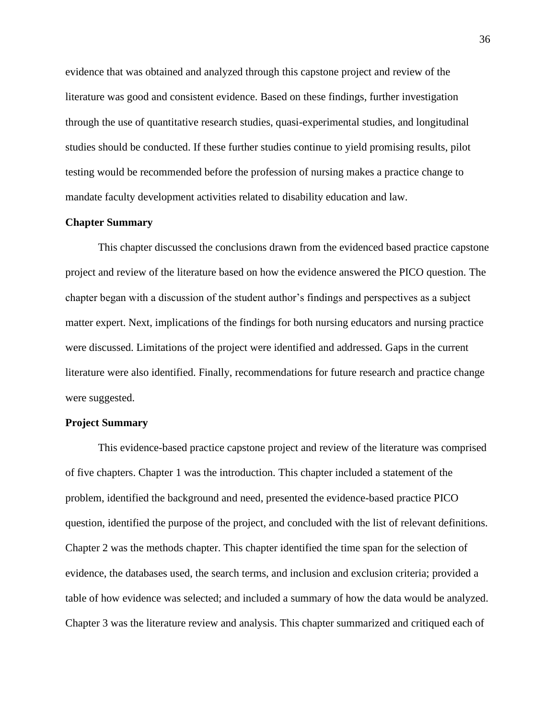evidence that was obtained and analyzed through this capstone project and review of the literature was good and consistent evidence. Based on these findings, further investigation through the use of quantitative research studies, quasi-experimental studies, and longitudinal studies should be conducted. If these further studies continue to yield promising results, pilot testing would be recommended before the profession of nursing makes a practice change to mandate faculty development activities related to disability education and law.

# **Chapter Summary**

This chapter discussed the conclusions drawn from the evidenced based practice capstone project and review of the literature based on how the evidence answered the PICO question. The chapter began with a discussion of the student author's findings and perspectives as a subject matter expert. Next, implications of the findings for both nursing educators and nursing practice were discussed. Limitations of the project were identified and addressed. Gaps in the current literature were also identified. Finally, recommendations for future research and practice change were suggested.

#### **Project Summary**

This evidence-based practice capstone project and review of the literature was comprised of five chapters. Chapter 1 was the introduction. This chapter included a statement of the problem, identified the background and need, presented the evidence-based practice PICO question, identified the purpose of the project, and concluded with the list of relevant definitions. Chapter 2 was the methods chapter. This chapter identified the time span for the selection of evidence, the databases used, the search terms, and inclusion and exclusion criteria; provided a table of how evidence was selected; and included a summary of how the data would be analyzed. Chapter 3 was the literature review and analysis. This chapter summarized and critiqued each of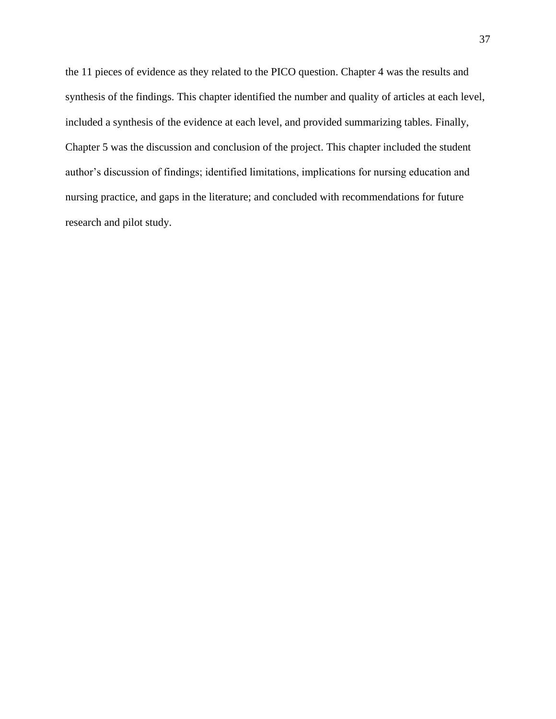the 11 pieces of evidence as they related to the PICO question. Chapter 4 was the results and synthesis of the findings. This chapter identified the number and quality of articles at each level, included a synthesis of the evidence at each level, and provided summarizing tables. Finally, Chapter 5 was the discussion and conclusion of the project. This chapter included the student author's discussion of findings; identified limitations, implications for nursing education and nursing practice, and gaps in the literature; and concluded with recommendations for future research and pilot study.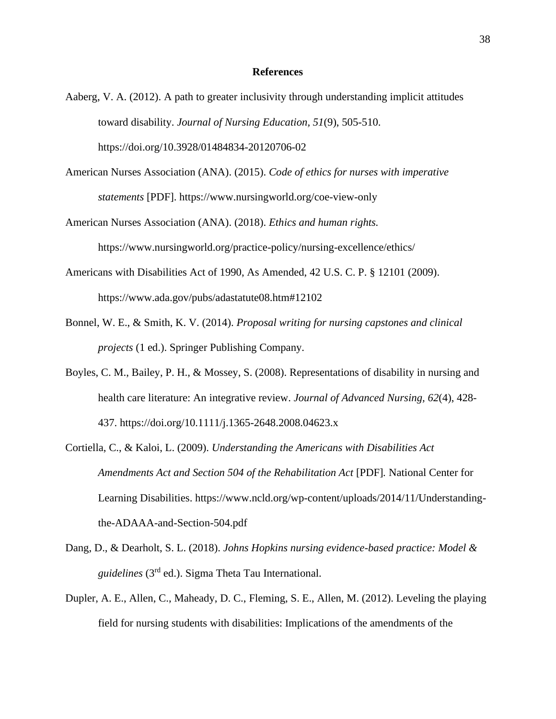## **References**

- Aaberg, V. A. (2012). A path to greater inclusivity through understanding implicit attitudes toward disability. *Journal of Nursing Education, 51*(9), 505-510. https://doi.org/10.3928/01484834-20120706-02
- American Nurses Association (ANA). (2015). *Code of ethics for nurses with imperative statements* [PDF]. https://www.nursingworld.org/coe-view-only
- American Nurses Association (ANA). (2018). *Ethics and human rights.* https://www.nursingworld.org/practice-policy/nursing-excellence/ethics/
- Americans with Disabilities Act of 1990, As Amended, 42 U.S. C. P. § 12101 (2009). https://www.ada.gov/pubs/adastatute08.htm#12102
- Bonnel, W. E., & Smith, K. V. (2014). *Proposal writing for nursing capstones and clinical projects* (1 ed.). Springer Publishing Company.
- Boyles, C. M., Bailey, P. H., & Mossey, S. (2008). Representations of disability in nursing and health care literature: An integrative review. *Journal of Advanced Nursing, 62*(4), 428- 437. https://doi.org/10.1111/j.1365-2648.2008.04623.x
- Cortiella, C., & Kaloi, L. (2009). *Understanding the Americans with Disabilities Act Amendments Act and Section 504 of the Rehabilitation Act* [PDF]*.* National Center for Learning Disabilities. https://www.ncld.org/wp-content/uploads/2014/11/Understandingthe-ADAAA-and-Section-504.pdf
- Dang, D., & Dearholt, S. L. (2018). *Johns Hopkins nursing evidence-based practice: Model & guidelines* (3rd ed.). Sigma Theta Tau International.
- Dupler, A. E., Allen, C., Maheady, D. C., Fleming, S. E., Allen, M. (2012). Leveling the playing field for nursing students with disabilities: Implications of the amendments of the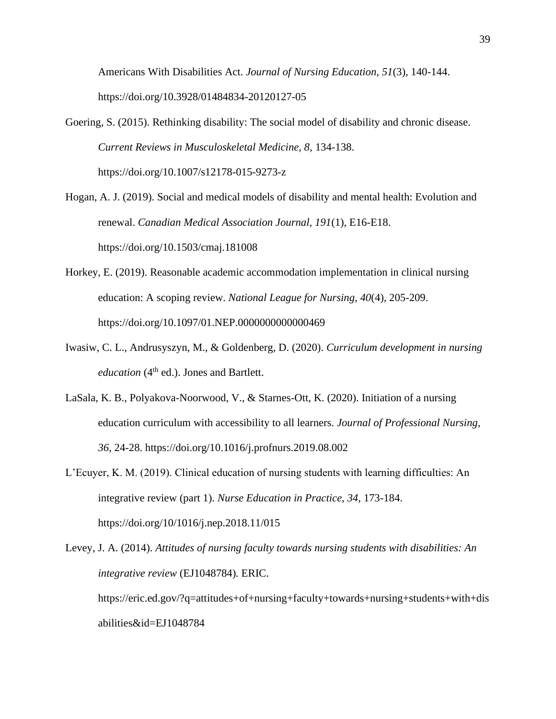Americans With Disabilities Act. *Journal of Nursing Education, 51*(3), 140-144. https://doi.org/10.3928/01484834-20120127-05

- Goering, S. (2015). Rethinking disability: The social model of disability and chronic disease. *Current Reviews in Musculoskeletal Medicine, 8,* 134-138. https://doi.org/10.1007/s12178-015-9273-z
- Hogan, A. J. (2019). Social and medical models of disability and mental health: Evolution and renewal. *Canadian Medical Association Journal, 191*(1), E16-E18. https://doi.org/10.1503/cmaj.181008
- Horkey, E. (2019). Reasonable academic accommodation implementation in clinical nursing education: A scoping review. *National League for Nursing, 40*(4), 205-209. https://doi.org/10.1097/01.NEP.0000000000000469
- Iwasiw, C. L., Andrusyszyn, M., & Goldenberg, D. (2020). *Curriculum development in nursing education* (4<sup>th</sup> ed.). Jones and Bartlett.
- LaSala, K. B., Polyakova-Noorwood, V., & Starnes-Ott, K. (2020). Initiation of a nursing education curriculum with accessibility to all learners. *Journal of Professional Nursing, 36*, 24-28. https://doi.org/10.1016/j.profnurs.2019.08.002
- L'Ecuyer, K. M. (2019). Clinical education of nursing students with learning difficulties: An integrative review (part 1). *Nurse Education in Practice, 34*, 173-184. https://doi.org/10/1016/j.nep.2018.11/015

Levey, J. A. (2014). *Attitudes of nursing faculty towards nursing students with disabilities: An integrative review* (EJ1048784)*.* ERIC. https://eric.ed.gov/?q=attitudes+of+nursing+faculty+towards+nursing+students+with+dis abilities&id=EJ1048784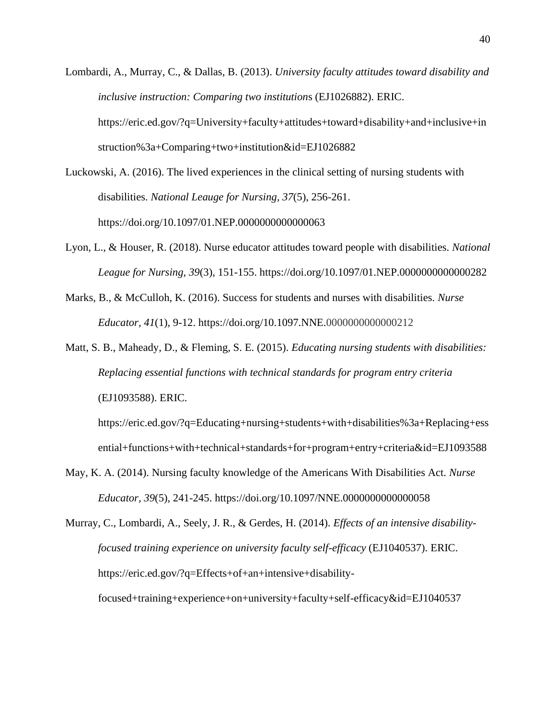- Lombardi, A., Murray, C., & Dallas, B. (2013). *University faculty attitudes toward disability and inclusive instruction: Comparing two institution*s (EJ1026882). ERIC. https://eric.ed.gov/?q=University+faculty+attitudes+toward+disability+and+inclusive+in struction%3a+Comparing+two+institution&id=EJ1026882
- Luckowski, A. (2016). The lived experiences in the clinical setting of nursing students with disabilities. *National Leauge for Nursing, 37*(5), 256-261. https://doi.org/10.1097/01.NEP.0000000000000063
- Lyon, L., & Houser, R. (2018). Nurse educator attitudes toward people with disabilities. *National League for Nursing, 39*(3), 151-155. https://doi.org/10.1097/01.NEP.0000000000000282
- Marks, B., & McCulloh, K. (2016). Success for students and nurses with disabilities. *Nurse Educator, 41*(1), 9-12. https://doi.org/10.1097.NNE.0000000000000212
- Matt, S. B., Maheady, D., & Fleming, S. E. (2015). *Educating nursing students with disabilities: Replacing essential functions with technical standards for program entry criteria* (EJ1093588). ERIC.

https://eric.ed.gov/?q=Educating+nursing+students+with+disabilities%3a+Replacing+ess ential+functions+with+technical+standards+for+program+entry+criteria&id=EJ1093588

May, K. A. (2014). Nursing faculty knowledge of the Americans With Disabilities Act. *Nurse Educator, 39*(5), 241-245. https://doi.org/10.1097/NNE.0000000000000058

Murray, C., Lombardi, A., Seely, J. R., & Gerdes, H. (2014). *Effects of an intensive disabilityfocused training experience on university faculty self-efficacy* (EJ1040537). ERIC. https://eric.ed.gov/?q=Effects+of+an+intensive+disabilityfocused+training+experience+on+university+faculty+self-efficacy&id=EJ1040537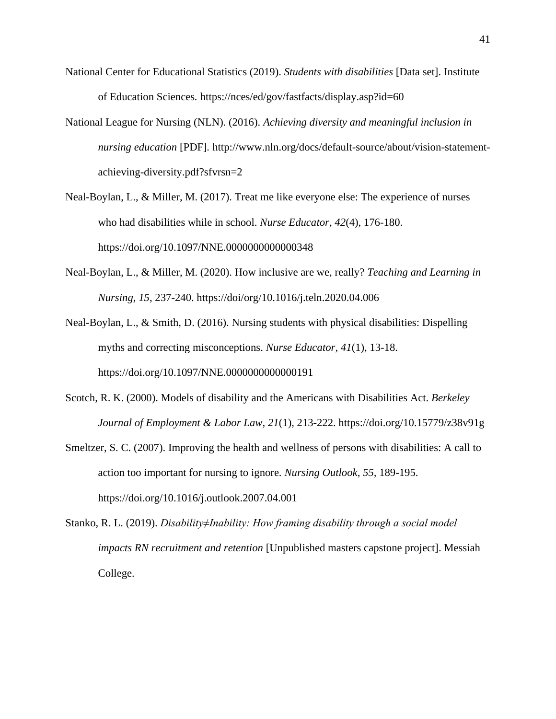- National Center for Educational Statistics (2019). *Students with disabilities* [Data set]. Institute of Education Sciences*.* https://nces/ed/gov/fastfacts/display.asp?id=60
- National League for Nursing (NLN). (2016). *Achieving diversity and meaningful inclusion in nursing education* [PDF]*.* http://www.nln.org/docs/default-source/about/vision-statementachieving-diversity.pdf?sfvrsn=2
- Neal-Boylan, L., & Miller, M. (2017). Treat me like everyone else: The experience of nurses who had disabilities while in school. *Nurse Educator, 42*(4), 176-180. https://doi.org/10.1097/NNE.0000000000000348
- Neal-Boylan, L., & Miller, M. (2020). How inclusive are we, really? *Teaching and Learning in Nursing, 15*, 237-240. https://doi/org/10.1016/j.teln.2020.04.006

Neal-Boylan, L., & Smith, D. (2016). Nursing students with physical disabilities: Dispelling myths and correcting misconceptions. *Nurse Educator, 41*(1), 13-18. https://doi.org/10.1097/NNE.0000000000000191

- Scotch, R. K. (2000). Models of disability and the Americans with Disabilities Act. *Berkeley Journal of Employment & Labor Law, 21*(1), 213-222. https://doi.org/10.15779/z38v91g
- Smeltzer, S. C. (2007). Improving the health and wellness of persons with disabilities: A call to action too important for nursing to ignore. *Nursing Outlook, 55,* 189-195. https://doi.org/10.1016/j.outlook.2007.04.001
- Stanko, R. L. (2019). *Disability≠Inability: How framing disability through a social model impacts RN recruitment and retention* [Unpublished masters capstone project]. Messiah College.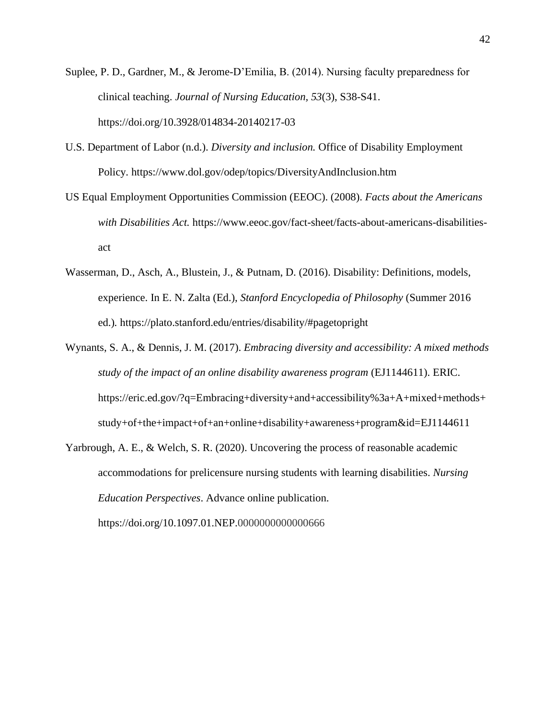- Suplee, P. D., Gardner, M., & Jerome-D'Emilia, B. (2014). Nursing faculty preparedness for clinical teaching. *Journal of Nursing Education, 53*(3), S38-S41. https://doi.org/10.3928/014834-20140217-03
- U.S. Department of Labor (n.d.). *Diversity and inclusion.* Office of Disability Employment Policy*.* https://www.dol.gov/odep/topics/DiversityAndInclusion.htm
- US Equal Employment Opportunities Commission (EEOC). (2008). *Facts about the Americans with Disabilities Act.* https://www.eeoc.gov/fact-sheet/facts-about-americans-disabilitiesact
- Wasserman, D., Asch, A., Blustein, J., & Putnam, D. (2016). Disability: Definitions, models, experience. In E. N. Zalta (Ed.), *Stanford Encyclopedia of Philosophy* (Summer 2016 ed.)*.* https://plato.stanford.edu/entries/disability/#pagetopright
- Wynants, S. A., & Dennis, J. M. (2017). *Embracing diversity and accessibility: A mixed methods study of the impact of an online disability awareness program* (EJ1144611). ERIC. https://eric.ed.gov/?q=Embracing+diversity+and+accessibility%3a+A+mixed+methods+ study+of+the+impact+of+an+online+disability+awareness+program&id=EJ1144611
- Yarbrough, A. E., & Welch, S. R. (2020). Uncovering the process of reasonable academic accommodations for prelicensure nursing students with learning disabilities. *Nursing Education Perspectives*. Advance online publication. https://doi.org/10.1097.01.NEP.0000000000000666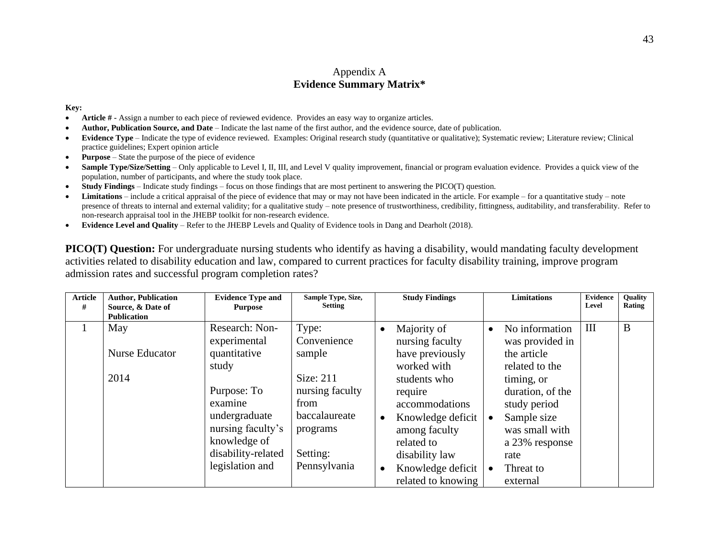# Appendix A **Evidence Summary Matrix\***

#### **Key:**

- **Article # -** Assign a number to each piece of reviewed evidence. Provides an easy way to organize articles.
- **Author, Publication Source, and Date** Indicate the last name of the first author, and the evidence source, date of publication.
- **Evidence Type** Indicate the type of evidence reviewed. Examples: Original research study (quantitative or qualitative); Systematic review; Literature review; Clinical practice guidelines; Expert opinion article
- **Purpose**  State the purpose of the piece of evidence
- **Sample Type/Size/Setting** Only applicable to Level I, II, III, and Level V quality improvement, financial or program evaluation evidence. Provides a quick view of the population, number of participants, and where the study took place.
- **Study Findings**  Indicate study findings focus on those findings that are most pertinent to answering the PICO(T) question.
- **Limitations** include a critical appraisal of the piece of evidence that may or may not have been indicated in the article. For example for a quantitative study note presence of threats to internal and external validity; for a qualitative study – note presence of trustworthiness, credibility, fittingness, auditability, and transferability. Refer to non-research appraisal tool in the JHEBP toolkit for non-research evidence.
- **Evidence Level and Quality**  Refer to the JHEBP Levels and Quality of Evidence tools in Dang and Dearholt (2018).

**PICO(T)** Question: For undergraduate nursing students who identify as having a disability, would mandating faculty development activities related to disability education and law, compared to current practices for faculty disability training, improve program admission rates and successful program completion rates?

| <b>Article</b> | <b>Author, Publication</b>                                 | <b>Evidence Type and</b>                                                                           | Sample Type, Size,<br><b>Setting</b>                                                    |                        | <b>Study Findings</b>                                                                                         |           | <b>Limitations</b>                                                                                                   | <b>Evidence</b><br>Level | Quality<br>Rating |
|----------------|------------------------------------------------------------|----------------------------------------------------------------------------------------------------|-----------------------------------------------------------------------------------------|------------------------|---------------------------------------------------------------------------------------------------------------|-----------|----------------------------------------------------------------------------------------------------------------------|--------------------------|-------------------|
| #              | Source, & Date of                                          | <b>Purpose</b>                                                                                     |                                                                                         |                        |                                                                                                               |           |                                                                                                                      |                          |                   |
|                | <b>Publication</b><br>May<br><b>Nurse Educator</b><br>2014 | Research: Non-<br>experimental<br>quantitative<br>study<br>Purpose: To<br>examine<br>undergraduate | Type:<br>Convenience<br>sample<br>Size: 211<br>nursing faculty<br>from<br>baccalaureate | $\bullet$              | Majority of<br>nursing faculty<br>have previously<br>worked with<br>students who<br>require<br>accommodations | $\bullet$ | No information<br>was provided in<br>the article<br>related to the<br>timing, or<br>duration, of the<br>study period | Ш                        | B                 |
|                |                                                            | nursing faculty's<br>knowledge of<br>disability-related<br>legislation and                         | programs<br>Setting:<br>Pennsylvania                                                    | $\bullet$<br>$\bullet$ | Knowledge deficit<br>among faculty<br>related to<br>disability law<br>Knowledge deficit<br>related to knowing | $\bullet$ | Sample size<br>was small with<br>a 23% response<br>rate<br>Threat to<br>external                                     |                          |                   |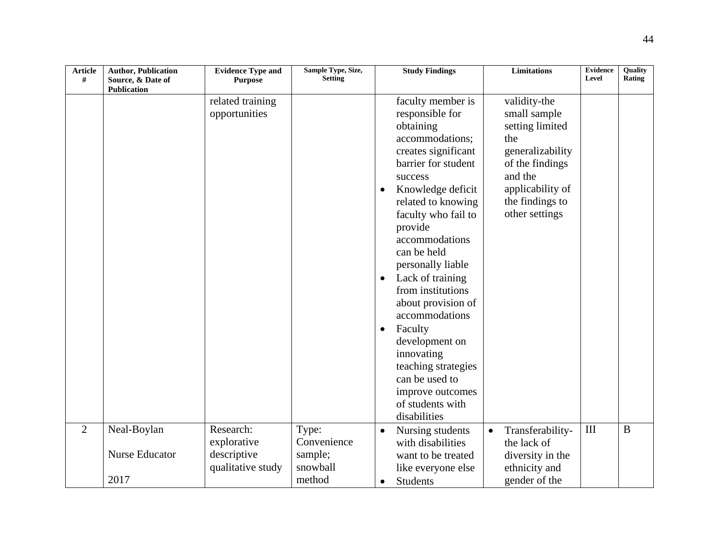| <b>Article</b><br># | <b>Author, Publication</b><br>Source, & Date of | <b>Evidence Type and</b><br><b>Purpose</b> | Sample Type, Size,<br><b>Setting</b> |                                     | <b>Study Findings</b>                                                                                                                                                                                                                                                                                                                                                                                                                                                                         |           | <b>Limitations</b>                                                                                                                                                | <b>Evidence</b><br>Level | Quality<br>Rating |
|---------------------|-------------------------------------------------|--------------------------------------------|--------------------------------------|-------------------------------------|-----------------------------------------------------------------------------------------------------------------------------------------------------------------------------------------------------------------------------------------------------------------------------------------------------------------------------------------------------------------------------------------------------------------------------------------------------------------------------------------------|-----------|-------------------------------------------------------------------------------------------------------------------------------------------------------------------|--------------------------|-------------------|
|                     | <b>Publication</b>                              |                                            |                                      |                                     |                                                                                                                                                                                                                                                                                                                                                                                                                                                                                               |           |                                                                                                                                                                   |                          |                   |
|                     |                                                 | related training<br>opportunities          |                                      | $\bullet$<br>$\bullet$<br>$\bullet$ | faculty member is<br>responsible for<br>obtaining<br>accommodations;<br>creates significant<br>barrier for student<br>success<br>Knowledge deficit<br>related to knowing<br>faculty who fail to<br>provide<br>accommodations<br>can be held<br>personally liable<br>Lack of training<br>from institutions<br>about provision of<br>accommodations<br>Faculty<br>development on<br>innovating<br>teaching strategies<br>can be used to<br>improve outcomes<br>of students with<br>disabilities |           | validity-the<br>small sample<br>setting limited<br>the<br>generalizability<br>of the findings<br>and the<br>applicability of<br>the findings to<br>other settings |                          |                   |
| 2                   | Neal-Boylan                                     | Research:                                  | Type:                                | $\bullet$                           | Nursing students                                                                                                                                                                                                                                                                                                                                                                                                                                                                              | $\bullet$ | Transferability-                                                                                                                                                  | $\rm III$                | $\bf{B}$          |
|                     |                                                 | explorative                                | Convenience                          |                                     | with disabilities                                                                                                                                                                                                                                                                                                                                                                                                                                                                             |           | the lack of                                                                                                                                                       |                          |                   |
|                     | <b>Nurse Educator</b>                           | descriptive                                | sample;                              |                                     | want to be treated                                                                                                                                                                                                                                                                                                                                                                                                                                                                            |           | diversity in the                                                                                                                                                  |                          |                   |
|                     |                                                 | qualitative study                          | snowball                             |                                     | like everyone else                                                                                                                                                                                                                                                                                                                                                                                                                                                                            |           | ethnicity and                                                                                                                                                     |                          |                   |
|                     | 2017                                            |                                            | method                               | $\bullet$                           | <b>Students</b>                                                                                                                                                                                                                                                                                                                                                                                                                                                                               |           | gender of the                                                                                                                                                     |                          |                   |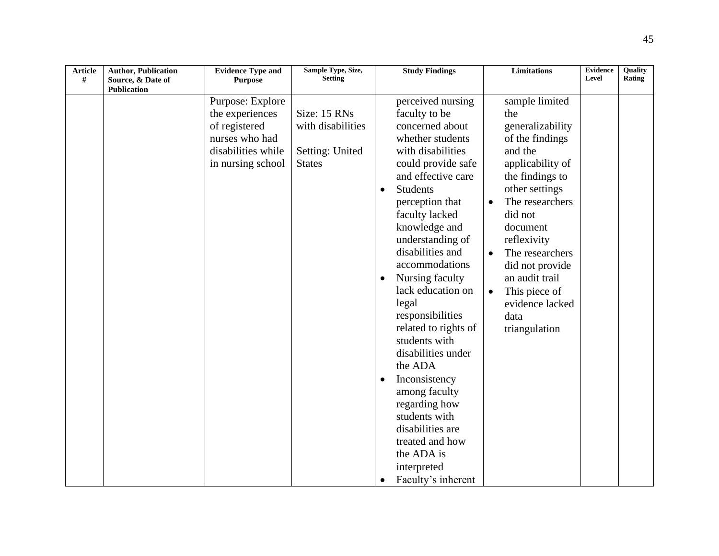| <b>Article</b><br># | <b>Author, Publication</b><br>Source, & Date of | <b>Evidence Type and</b><br><b>Purpose</b>                                                                        | Sample Type, Size,<br><b>Setting</b>                                  |                                     | <b>Study Findings</b>                                                                                                                                                                                                                                                                                                                                                                                                                                                                                                                                                | <b>Limitations</b>                                                                                                                                                                                                                                                                                                                       | <b>Evidence</b><br>Level | Quality<br>Rating |
|---------------------|-------------------------------------------------|-------------------------------------------------------------------------------------------------------------------|-----------------------------------------------------------------------|-------------------------------------|----------------------------------------------------------------------------------------------------------------------------------------------------------------------------------------------------------------------------------------------------------------------------------------------------------------------------------------------------------------------------------------------------------------------------------------------------------------------------------------------------------------------------------------------------------------------|------------------------------------------------------------------------------------------------------------------------------------------------------------------------------------------------------------------------------------------------------------------------------------------------------------------------------------------|--------------------------|-------------------|
|                     | <b>Publication</b>                              |                                                                                                                   |                                                                       |                                     |                                                                                                                                                                                                                                                                                                                                                                                                                                                                                                                                                                      |                                                                                                                                                                                                                                                                                                                                          |                          |                   |
|                     |                                                 | Purpose: Explore<br>the experiences<br>of registered<br>nurses who had<br>disabilities while<br>in nursing school | Size: 15 RNs<br>with disabilities<br>Setting: United<br><b>States</b> | $\bullet$<br>$\bullet$<br>$\bullet$ | perceived nursing<br>faculty to be<br>concerned about<br>whether students<br>with disabilities<br>could provide safe<br>and effective care<br><b>Students</b><br>perception that<br>faculty lacked<br>knowledge and<br>understanding of<br>disabilities and<br>accommodations<br>Nursing faculty<br>lack education on<br>legal<br>responsibilities<br>related to rights of<br>students with<br>disabilities under<br>the ADA<br>Inconsistency<br>among faculty<br>regarding how<br>students with<br>disabilities are<br>treated and how<br>the ADA is<br>interpreted | sample limited<br>the<br>generalizability<br>of the findings<br>and the<br>applicability of<br>the findings to<br>other settings<br>The researchers<br>did not<br>document<br>reflexivity<br>The researchers<br>$\bullet$<br>did not provide<br>an audit trail<br>This piece of<br>$\bullet$<br>evidence lacked<br>data<br>triangulation |                          |                   |
|                     |                                                 |                                                                                                                   |                                                                       | $\bullet$                           | Faculty's inherent                                                                                                                                                                                                                                                                                                                                                                                                                                                                                                                                                   |                                                                                                                                                                                                                                                                                                                                          |                          |                   |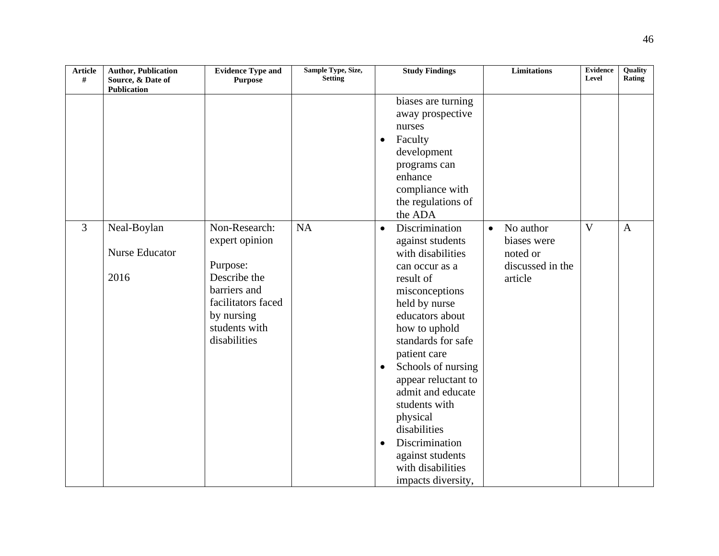| <b>Article</b><br># | <b>Author, Publication</b><br>Source, & Date of | <b>Evidence Type and</b><br><b>Purpose</b>                                                                                                       | Sample Type, Size,<br><b>Setting</b> |                                     | <b>Study Findings</b>                                                                                                                                                                                                                                                                                                                                                                               |           | <b>Limitations</b>                                                  | <b>Evidence</b><br>Level | Quality<br>Rating |
|---------------------|-------------------------------------------------|--------------------------------------------------------------------------------------------------------------------------------------------------|--------------------------------------|-------------------------------------|-----------------------------------------------------------------------------------------------------------------------------------------------------------------------------------------------------------------------------------------------------------------------------------------------------------------------------------------------------------------------------------------------------|-----------|---------------------------------------------------------------------|--------------------------|-------------------|
|                     | <b>Publication</b>                              |                                                                                                                                                  |                                      |                                     |                                                                                                                                                                                                                                                                                                                                                                                                     |           |                                                                     |                          |                   |
|                     |                                                 |                                                                                                                                                  |                                      | $\bullet$                           | biases are turning<br>away prospective<br>nurses<br>Faculty<br>development<br>programs can<br>enhance<br>compliance with<br>the regulations of<br>the ADA                                                                                                                                                                                                                                           |           |                                                                     |                          |                   |
| $\overline{3}$      | Neal-Boylan<br><b>Nurse Educator</b><br>2016    | Non-Research:<br>expert opinion<br>Purpose:<br>Describe the<br>barriers and<br>facilitators faced<br>by nursing<br>students with<br>disabilities | <b>NA</b>                            | $\bullet$<br>$\bullet$<br>$\bullet$ | Discrimination<br>against students<br>with disabilities<br>can occur as a<br>result of<br>misconceptions<br>held by nurse<br>educators about<br>how to uphold<br>standards for safe<br>patient care<br>Schools of nursing<br>appear reluctant to<br>admit and educate<br>students with<br>physical<br>disabilities<br>Discrimination<br>against students<br>with disabilities<br>impacts diversity, | $\bullet$ | No author<br>biases were<br>noted or<br>discussed in the<br>article | $\overline{\mathbf{V}}$  | $\mathbf{A}$      |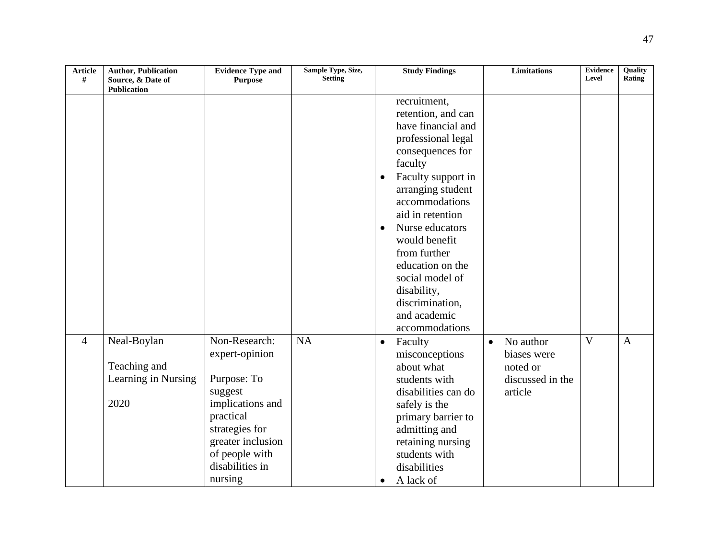| <b>Article</b><br># | <b>Author, Publication</b><br>Source, & Date of            | <b>Evidence Type and</b><br><b>Purpose</b>                                                                                                                                        | Sample Type, Size,<br><b>Setting</b> | <b>Study Findings</b>                                                                                                                                                                                                                                                                                                                                                                   | <b>Limitations</b>                                                               | <b>Evidence</b><br>Level | <b>Ouality</b><br>Rating |
|---------------------|------------------------------------------------------------|-----------------------------------------------------------------------------------------------------------------------------------------------------------------------------------|--------------------------------------|-----------------------------------------------------------------------------------------------------------------------------------------------------------------------------------------------------------------------------------------------------------------------------------------------------------------------------------------------------------------------------------------|----------------------------------------------------------------------------------|--------------------------|--------------------------|
|                     | <b>Publication</b>                                         |                                                                                                                                                                                   |                                      |                                                                                                                                                                                                                                                                                                                                                                                         |                                                                                  |                          |                          |
|                     |                                                            |                                                                                                                                                                                   |                                      | recruitment,<br>retention, and can<br>have financial and<br>professional legal<br>consequences for<br>faculty<br>Faculty support in<br>$\bullet$<br>arranging student<br>accommodations<br>aid in retention<br>Nurse educators<br>$\bullet$<br>would benefit<br>from further<br>education on the<br>social model of<br>disability,<br>discrimination,<br>and academic<br>accommodations |                                                                                  |                          |                          |
| $\overline{4}$      | Neal-Boylan<br>Teaching and<br>Learning in Nursing<br>2020 | Non-Research:<br>expert-opinion<br>Purpose: To<br>suggest<br>implications and<br>practical<br>strategies for<br>greater inclusion<br>of people with<br>disabilities in<br>nursing | <b>NA</b>                            | Faculty<br>$\bullet$<br>misconceptions<br>about what<br>students with<br>disabilities can do<br>safely is the<br>primary barrier to<br>admitting and<br>retaining nursing<br>students with<br>disabilities<br>A lack of<br>$\bullet$                                                                                                                                                    | No author<br>$\bullet$<br>biases were<br>noted or<br>discussed in the<br>article | $\overline{\mathbf{V}}$  | $\overline{A}$           |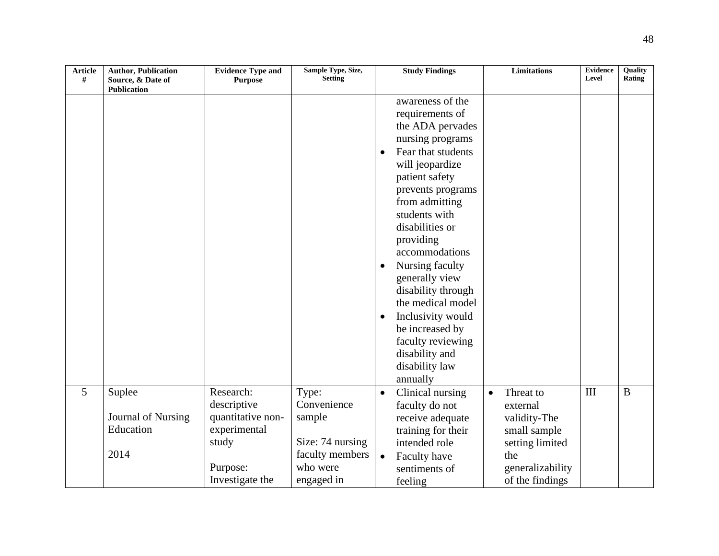| <b>Article</b><br># | <b>Author, Publication</b><br>Source, & Date of | <b>Evidence Type and</b><br><b>Purpose</b> | Sample Type, Size,<br><b>Setting</b> |                                     | <b>Study Findings</b>                                                                                                                                                                                                                                                                                                                                                                                                                         |           | <b>Limitations</b>                  | <b>Evidence</b><br>Level | <b>Ouality</b><br>Rating |
|---------------------|-------------------------------------------------|--------------------------------------------|--------------------------------------|-------------------------------------|-----------------------------------------------------------------------------------------------------------------------------------------------------------------------------------------------------------------------------------------------------------------------------------------------------------------------------------------------------------------------------------------------------------------------------------------------|-----------|-------------------------------------|--------------------------|--------------------------|
|                     | Publication                                     |                                            |                                      |                                     |                                                                                                                                                                                                                                                                                                                                                                                                                                               |           |                                     |                          |                          |
|                     |                                                 |                                            |                                      | $\bullet$<br>$\bullet$<br>$\bullet$ | awareness of the<br>requirements of<br>the ADA pervades<br>nursing programs<br>Fear that students<br>will jeopardize<br>patient safety<br>prevents programs<br>from admitting<br>students with<br>disabilities or<br>providing<br>accommodations<br>Nursing faculty<br>generally view<br>disability through<br>the medical model<br>Inclusivity would<br>be increased by<br>faculty reviewing<br>disability and<br>disability law<br>annually |           |                                     |                          |                          |
| 5                   | Suplee                                          | Research:                                  | Type:                                | $\bullet$                           | Clinical nursing                                                                                                                                                                                                                                                                                                                                                                                                                              | $\bullet$ | Threat to                           | III                      | $\bf{B}$                 |
|                     | Journal of Nursing                              | descriptive<br>quantitative non-           | Convenience<br>sample                |                                     | faculty do not<br>receive adequate                                                                                                                                                                                                                                                                                                                                                                                                            |           | external<br>validity-The            |                          |                          |
|                     | Education                                       | experimental                               |                                      |                                     | training for their                                                                                                                                                                                                                                                                                                                                                                                                                            |           | small sample                        |                          |                          |
|                     |                                                 | study                                      | Size: 74 nursing                     |                                     | intended role                                                                                                                                                                                                                                                                                                                                                                                                                                 |           | setting limited                     |                          |                          |
|                     | 2014                                            | Purpose:                                   | faculty members<br>who were          | $\bullet$                           | Faculty have<br>sentiments of                                                                                                                                                                                                                                                                                                                                                                                                                 |           | the                                 |                          |                          |
|                     |                                                 | Investigate the                            | engaged in                           |                                     | feeling                                                                                                                                                                                                                                                                                                                                                                                                                                       |           | generalizability<br>of the findings |                          |                          |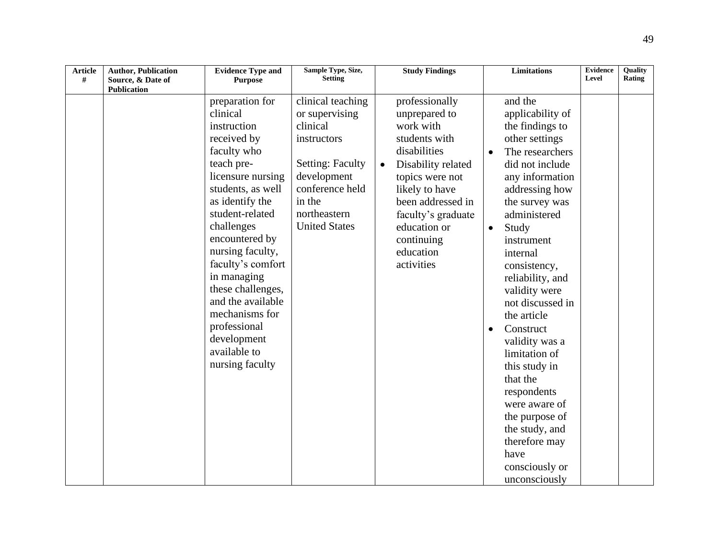| <b>Article</b><br># | <b>Author, Publication</b><br>Source, & Date of | <b>Evidence Type and</b><br><b>Purpose</b>                                                                                                                                                                                                                                                                                                                                                   | Sample Type, Size,<br><b>Setting</b>                                                                                                                                          |           | <b>Study Findings</b>                                                                                                                                                                                                                        |                        | <b>Limitations</b>                                                                                                                                                                                                                                                                                                                                                                                                                                                                                                    | <b>Evidence</b><br>Level | <b>Ouality</b><br>Rating |
|---------------------|-------------------------------------------------|----------------------------------------------------------------------------------------------------------------------------------------------------------------------------------------------------------------------------------------------------------------------------------------------------------------------------------------------------------------------------------------------|-------------------------------------------------------------------------------------------------------------------------------------------------------------------------------|-----------|----------------------------------------------------------------------------------------------------------------------------------------------------------------------------------------------------------------------------------------------|------------------------|-----------------------------------------------------------------------------------------------------------------------------------------------------------------------------------------------------------------------------------------------------------------------------------------------------------------------------------------------------------------------------------------------------------------------------------------------------------------------------------------------------------------------|--------------------------|--------------------------|
|                     | <b>Publication</b>                              |                                                                                                                                                                                                                                                                                                                                                                                              |                                                                                                                                                                               |           |                                                                                                                                                                                                                                              |                        |                                                                                                                                                                                                                                                                                                                                                                                                                                                                                                                       |                          |                          |
|                     |                                                 | preparation for<br>clinical<br>instruction<br>received by<br>faculty who<br>teach pre-<br>licensure nursing<br>students, as well<br>as identify the<br>student-related<br>challenges<br>encountered by<br>nursing faculty,<br>faculty's comfort<br>in managing<br>these challenges,<br>and the available<br>mechanisms for<br>professional<br>development<br>available to<br>nursing faculty | clinical teaching<br>or supervising<br>clinical<br>instructors<br><b>Setting: Faculty</b><br>development<br>conference held<br>in the<br>northeastern<br><b>United States</b> | $\bullet$ | professionally<br>unprepared to<br>work with<br>students with<br>disabilities<br>Disability related<br>topics were not<br>likely to have<br>been addressed in<br>faculty's graduate<br>education or<br>continuing<br>education<br>activities | $\bullet$<br>$\bullet$ | and the<br>applicability of<br>the findings to<br>other settings<br>The researchers<br>did not include<br>any information<br>addressing how<br>the survey was<br>administered<br>Study<br>instrument<br>internal<br>consistency,<br>reliability, and<br>validity were<br>not discussed in<br>the article<br>Construct<br>validity was a<br>limitation of<br>this study in<br>that the<br>respondents<br>were aware of<br>the purpose of<br>the study, and<br>therefore may<br>have<br>consciously or<br>unconsciously |                          |                          |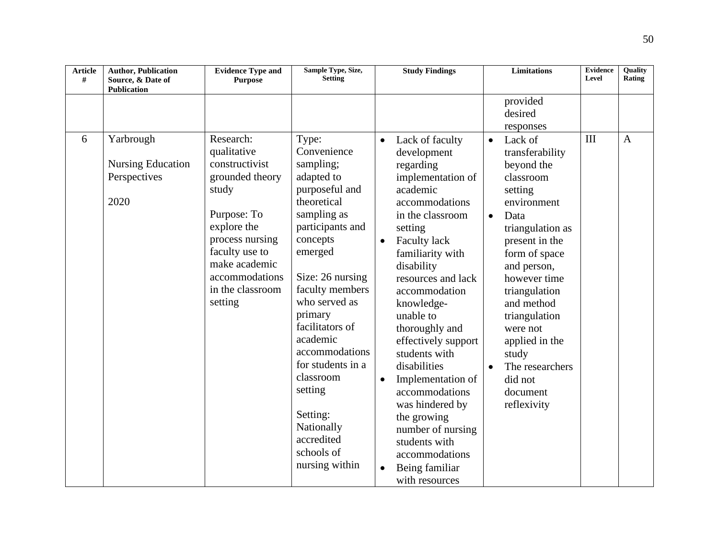| <b>Article</b><br># | <b>Author, Publication</b><br>Source, & Date of<br>Publication | <b>Evidence Type and</b><br><b>Purpose</b>                                                                                                                                                                  | Sample Type, Size,<br><b>Setting</b>                                                                                                                                                                                                                                                                                                                                                |                                                  | <b>Study Findings</b>                                                                                                                                                                                                                                                                                                                                                                                                                                                                                   |                                     | <b>Limitations</b>                                                                                                                                                                                                                                                                                                            | <b>Evidence</b><br>Level | Quality<br>Rating |
|---------------------|----------------------------------------------------------------|-------------------------------------------------------------------------------------------------------------------------------------------------------------------------------------------------------------|-------------------------------------------------------------------------------------------------------------------------------------------------------------------------------------------------------------------------------------------------------------------------------------------------------------------------------------------------------------------------------------|--------------------------------------------------|---------------------------------------------------------------------------------------------------------------------------------------------------------------------------------------------------------------------------------------------------------------------------------------------------------------------------------------------------------------------------------------------------------------------------------------------------------------------------------------------------------|-------------------------------------|-------------------------------------------------------------------------------------------------------------------------------------------------------------------------------------------------------------------------------------------------------------------------------------------------------------------------------|--------------------------|-------------------|
|                     |                                                                |                                                                                                                                                                                                             |                                                                                                                                                                                                                                                                                                                                                                                     |                                                  |                                                                                                                                                                                                                                                                                                                                                                                                                                                                                                         |                                     | provided<br>desired<br>responses                                                                                                                                                                                                                                                                                              |                          |                   |
| 6                   | Yarbrough<br><b>Nursing Education</b><br>Perspectives<br>2020  | Research:<br>qualitative<br>constructivist<br>grounded theory<br>study<br>Purpose: To<br>explore the<br>process nursing<br>faculty use to<br>make academic<br>accommodations<br>in the classroom<br>setting | Type:<br>Convenience<br>sampling;<br>adapted to<br>purposeful and<br>theoretical<br>sampling as<br>participants and<br>concepts<br>emerged<br>Size: 26 nursing<br>faculty members<br>who served as<br>primary<br>facilitators of<br>academic<br>accommodations<br>for students in a<br>classroom<br>setting<br>Setting:<br>Nationally<br>accredited<br>schools of<br>nursing within | $\bullet$<br>$\bullet$<br>$\bullet$<br>$\bullet$ | Lack of faculty<br>development<br>regarding<br>implementation of<br>academic<br>accommodations<br>in the classroom<br>setting<br><b>Faculty lack</b><br>familiarity with<br>disability<br>resources and lack<br>accommodation<br>knowledge-<br>unable to<br>thoroughly and<br>effectively support<br>students with<br>disabilities<br>Implementation of<br>accommodations<br>was hindered by<br>the growing<br>number of nursing<br>students with<br>accommodations<br>Being familiar<br>with resources | $\bullet$<br>$\bullet$<br>$\bullet$ | Lack of<br>transferability<br>beyond the<br>classroom<br>setting<br>environment<br>Data<br>triangulation as<br>present in the<br>form of space<br>and person,<br>however time<br>triangulation<br>and method<br>triangulation<br>were not<br>applied in the<br>study<br>The researchers<br>did not<br>document<br>reflexivity | III                      | $\overline{A}$    |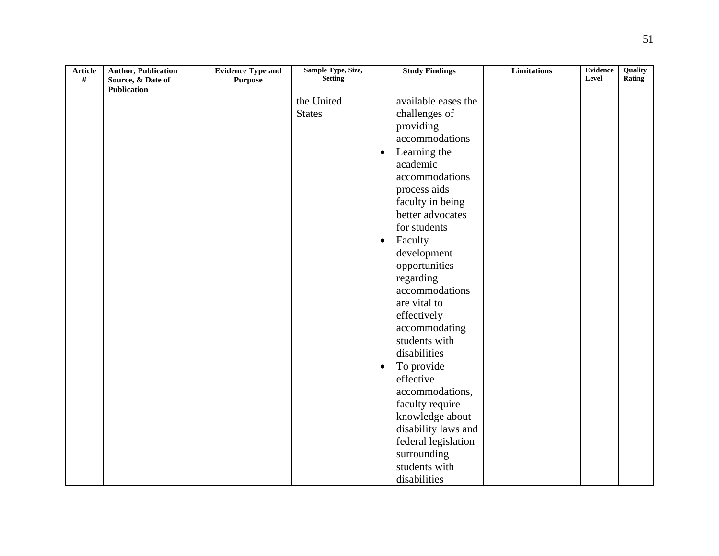| <b>Article</b><br>$\#$ | <b>Author, Publication</b><br>Source, & Date of | <b>Evidence Type and</b><br><b>Purpose</b> | Sample Type, Size,<br><b>Setting</b> | <b>Study Findings</b>     | <b>Limitations</b> | <b>Evidence</b><br>Level | Quality<br>Rating |
|------------------------|-------------------------------------------------|--------------------------------------------|--------------------------------------|---------------------------|--------------------|--------------------------|-------------------|
|                        | <b>Publication</b>                              |                                            |                                      |                           |                    |                          |                   |
|                        |                                                 |                                            | the United                           | available eases the       |                    |                          |                   |
|                        |                                                 |                                            | <b>States</b>                        | challenges of             |                    |                          |                   |
|                        |                                                 |                                            |                                      | providing                 |                    |                          |                   |
|                        |                                                 |                                            |                                      | accommodations            |                    |                          |                   |
|                        |                                                 |                                            |                                      | Learning the<br>$\bullet$ |                    |                          |                   |
|                        |                                                 |                                            |                                      | academic                  |                    |                          |                   |
|                        |                                                 |                                            |                                      | accommodations            |                    |                          |                   |
|                        |                                                 |                                            |                                      | process aids              |                    |                          |                   |
|                        |                                                 |                                            |                                      | faculty in being          |                    |                          |                   |
|                        |                                                 |                                            |                                      | better advocates          |                    |                          |                   |
|                        |                                                 |                                            |                                      | for students              |                    |                          |                   |
|                        |                                                 |                                            |                                      | Faculty<br>$\bullet$      |                    |                          |                   |
|                        |                                                 |                                            |                                      | development               |                    |                          |                   |
|                        |                                                 |                                            |                                      | opportunities             |                    |                          |                   |
|                        |                                                 |                                            |                                      | regarding                 |                    |                          |                   |
|                        |                                                 |                                            |                                      | accommodations            |                    |                          |                   |
|                        |                                                 |                                            |                                      | are vital to              |                    |                          |                   |
|                        |                                                 |                                            |                                      | effectively               |                    |                          |                   |
|                        |                                                 |                                            |                                      | accommodating             |                    |                          |                   |
|                        |                                                 |                                            |                                      | students with             |                    |                          |                   |
|                        |                                                 |                                            |                                      | disabilities              |                    |                          |                   |
|                        |                                                 |                                            |                                      | To provide<br>$\bullet$   |                    |                          |                   |
|                        |                                                 |                                            |                                      | effective                 |                    |                          |                   |
|                        |                                                 |                                            |                                      | accommodations,           |                    |                          |                   |
|                        |                                                 |                                            |                                      | faculty require           |                    |                          |                   |
|                        |                                                 |                                            |                                      | knowledge about           |                    |                          |                   |
|                        |                                                 |                                            |                                      | disability laws and       |                    |                          |                   |
|                        |                                                 |                                            |                                      | federal legislation       |                    |                          |                   |
|                        |                                                 |                                            |                                      | surrounding               |                    |                          |                   |
|                        |                                                 |                                            |                                      | students with             |                    |                          |                   |
|                        |                                                 |                                            |                                      | disabilities              |                    |                          |                   |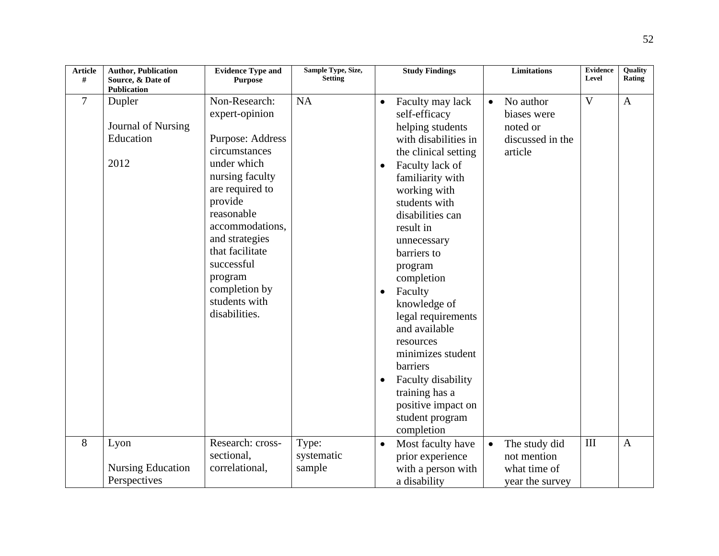| <b>Article</b><br># | <b>Author, Publication</b><br>Source, & Date of   | <b>Evidence Type and</b><br><b>Purpose</b>                                                                                                                                                                                                                                             | Sample Type, Size,<br><b>Setting</b> |                                                  | <b>Study Findings</b>                                                                                                                                                                                                                                                                                                                                                                                                                                                                |           | <b>Limitations</b>                                                  | <b>Evidence</b><br>Level | <b>Ouality</b><br>Rating |
|---------------------|---------------------------------------------------|----------------------------------------------------------------------------------------------------------------------------------------------------------------------------------------------------------------------------------------------------------------------------------------|--------------------------------------|--------------------------------------------------|--------------------------------------------------------------------------------------------------------------------------------------------------------------------------------------------------------------------------------------------------------------------------------------------------------------------------------------------------------------------------------------------------------------------------------------------------------------------------------------|-----------|---------------------------------------------------------------------|--------------------------|--------------------------|
|                     | <b>Publication</b>                                |                                                                                                                                                                                                                                                                                        |                                      |                                                  |                                                                                                                                                                                                                                                                                                                                                                                                                                                                                      |           |                                                                     |                          |                          |
| 7                   | Dupler<br>Journal of Nursing<br>Education<br>2012 | Non-Research:<br>expert-opinion<br>Purpose: Address<br>circumstances<br>under which<br>nursing faculty<br>are required to<br>provide<br>reasonable<br>accommodations,<br>and strategies<br>that facilitate<br>successful<br>program<br>completion by<br>students with<br>disabilities. | <b>NA</b>                            | $\bullet$<br>$\bullet$<br>$\bullet$<br>$\bullet$ | Faculty may lack<br>self-efficacy<br>helping students<br>with disabilities in<br>the clinical setting<br>Faculty lack of<br>familiarity with<br>working with<br>students with<br>disabilities can<br>result in<br>unnecessary<br>barriers to<br>program<br>completion<br>Faculty<br>knowledge of<br>legal requirements<br>and available<br>resources<br>minimizes student<br>barriers<br>Faculty disability<br>training has a<br>positive impact on<br>student program<br>completion | $\bullet$ | No author<br>biases were<br>noted or<br>discussed in the<br>article | $\overline{\mathsf{V}}$  | $\mathbf{A}$             |
| 8                   | Lyon                                              | Research: cross-                                                                                                                                                                                                                                                                       | Type:                                | $\bullet$                                        | Most faculty have                                                                                                                                                                                                                                                                                                                                                                                                                                                                    | $\bullet$ | The study did                                                       | III                      | $\overline{A}$           |
|                     |                                                   | sectional,                                                                                                                                                                                                                                                                             | systematic                           |                                                  | prior experience                                                                                                                                                                                                                                                                                                                                                                                                                                                                     |           | not mention                                                         |                          |                          |
|                     | <b>Nursing Education</b>                          | correlational,                                                                                                                                                                                                                                                                         | sample                               |                                                  | with a person with                                                                                                                                                                                                                                                                                                                                                                                                                                                                   |           | what time of                                                        |                          |                          |
|                     | Perspectives                                      |                                                                                                                                                                                                                                                                                        |                                      |                                                  | a disability                                                                                                                                                                                                                                                                                                                                                                                                                                                                         |           | year the survey                                                     |                          |                          |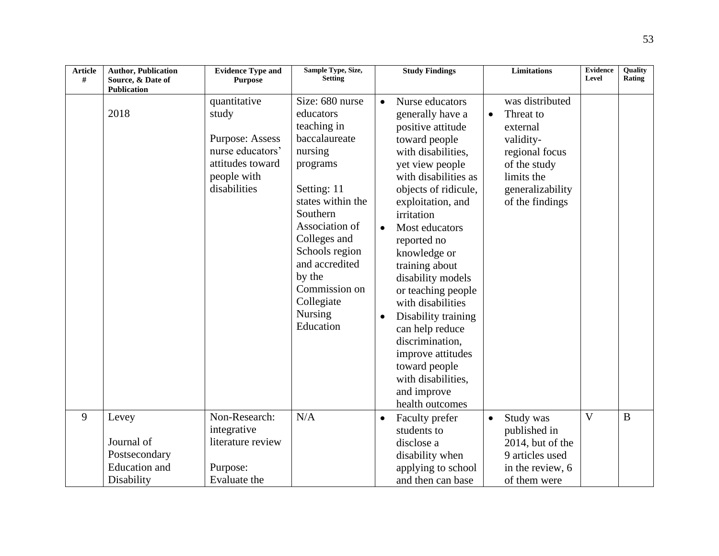| <b>Article</b><br># | <b>Author, Publication</b><br>Source, & Date of | <b>Evidence Type and</b><br><b>Purpose</b>                                                                             | Sample Type, Size,<br><b>Setting</b>                                                                                                                                                                                                                                       |                                     | <b>Study Findings</b>                                                                                                                                                                                                                                                                                                                                                                                                                                                                               |           | <b>Limitations</b>                                                                                                                           | <b>Evidence</b><br>Level | Quality<br>Rating |
|---------------------|-------------------------------------------------|------------------------------------------------------------------------------------------------------------------------|----------------------------------------------------------------------------------------------------------------------------------------------------------------------------------------------------------------------------------------------------------------------------|-------------------------------------|-----------------------------------------------------------------------------------------------------------------------------------------------------------------------------------------------------------------------------------------------------------------------------------------------------------------------------------------------------------------------------------------------------------------------------------------------------------------------------------------------------|-----------|----------------------------------------------------------------------------------------------------------------------------------------------|--------------------------|-------------------|
|                     | <b>Publication</b>                              |                                                                                                                        |                                                                                                                                                                                                                                                                            |                                     |                                                                                                                                                                                                                                                                                                                                                                                                                                                                                                     |           |                                                                                                                                              |                          |                   |
|                     | 2018                                            | quantitative<br>study<br><b>Purpose: Assess</b><br>nurse educators'<br>attitudes toward<br>people with<br>disabilities | Size: 680 nurse<br>educators<br>teaching in<br>baccalaureate<br>nursing<br>programs<br>Setting: 11<br>states within the<br>Southern<br>Association of<br>Colleges and<br>Schools region<br>and accredited<br>by the<br>Commission on<br>Collegiate<br>Nursing<br>Education | $\bullet$<br>$\bullet$<br>$\bullet$ | Nurse educators<br>generally have a<br>positive attitude<br>toward people<br>with disabilities,<br>yet view people<br>with disabilities as<br>objects of ridicule,<br>exploitation, and<br>irritation<br>Most educators<br>reported no<br>knowledge or<br>training about<br>disability models<br>or teaching people<br>with disabilities<br>Disability training<br>can help reduce<br>discrimination,<br>improve attitudes<br>toward people<br>with disabilities,<br>and improve<br>health outcomes | $\bullet$ | was distributed<br>Threat to<br>external<br>validity-<br>regional focus<br>of the study<br>limits the<br>generalizability<br>of the findings |                          |                   |
| 9                   | Levey                                           | Non-Research:<br>integrative                                                                                           | N/A                                                                                                                                                                                                                                                                        | $\bullet$                           | Faculty prefer<br>students to                                                                                                                                                                                                                                                                                                                                                                                                                                                                       | $\bullet$ | Study was<br>published in                                                                                                                    | V                        | $\bf{B}$          |
|                     | Journal of                                      | literature review                                                                                                      |                                                                                                                                                                                                                                                                            |                                     | disclose a                                                                                                                                                                                                                                                                                                                                                                                                                                                                                          |           | 2014, but of the                                                                                                                             |                          |                   |
|                     | Postsecondary                                   |                                                                                                                        |                                                                                                                                                                                                                                                                            |                                     | disability when                                                                                                                                                                                                                                                                                                                                                                                                                                                                                     |           | 9 articles used                                                                                                                              |                          |                   |
|                     | <b>Education</b> and                            | Purpose:                                                                                                               |                                                                                                                                                                                                                                                                            |                                     | applying to school                                                                                                                                                                                                                                                                                                                                                                                                                                                                                  |           | in the review, 6                                                                                                                             |                          |                   |
|                     | Disability                                      | Evaluate the                                                                                                           |                                                                                                                                                                                                                                                                            |                                     | and then can base                                                                                                                                                                                                                                                                                                                                                                                                                                                                                   |           | of them were                                                                                                                                 |                          |                   |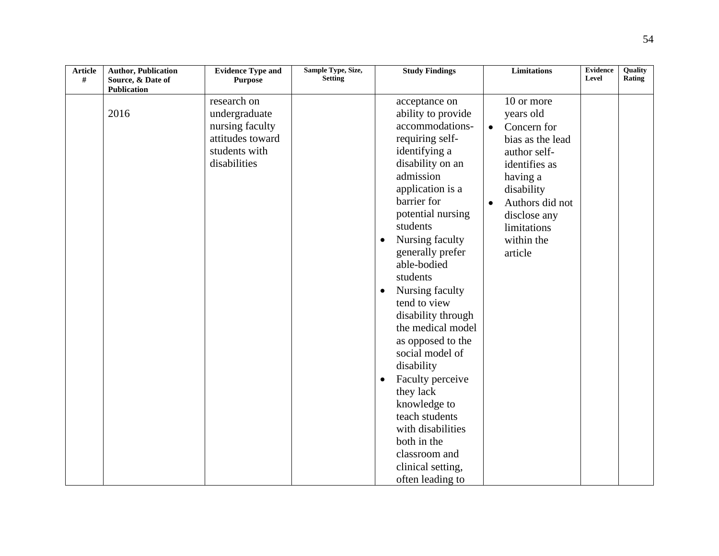| <b>Article</b><br># | <b>Author, Publication</b><br>Source, & Date of | <b>Evidence Type and</b><br><b>Purpose</b> | Sample Type, Size,<br><b>Setting</b> |           | <b>Study Findings</b> |           | <b>Limitations</b> | <b>Evidence</b><br>Level | Quality<br>Rating |
|---------------------|-------------------------------------------------|--------------------------------------------|--------------------------------------|-----------|-----------------------|-----------|--------------------|--------------------------|-------------------|
|                     | <b>Publication</b>                              |                                            |                                      |           |                       |           |                    |                          |                   |
|                     |                                                 | research on                                |                                      |           | acceptance on         |           | 10 or more         |                          |                   |
|                     | 2016                                            | undergraduate                              |                                      |           | ability to provide    |           | years old          |                          |                   |
|                     |                                                 | nursing faculty                            |                                      |           | accommodations-       | $\bullet$ | Concern for        |                          |                   |
|                     |                                                 | attitudes toward                           |                                      |           | requiring self-       |           | bias as the lead   |                          |                   |
|                     |                                                 | students with                              |                                      |           | identifying a         |           | author self-       |                          |                   |
|                     |                                                 | disabilities                               |                                      |           | disability on an      |           | identifies as      |                          |                   |
|                     |                                                 |                                            |                                      |           | admission             |           | having a           |                          |                   |
|                     |                                                 |                                            |                                      |           | application is a      |           | disability         |                          |                   |
|                     |                                                 |                                            |                                      |           | barrier for           | $\bullet$ | Authors did not    |                          |                   |
|                     |                                                 |                                            |                                      |           | potential nursing     |           | disclose any       |                          |                   |
|                     |                                                 |                                            |                                      |           | students              |           | limitations        |                          |                   |
|                     |                                                 |                                            |                                      | $\bullet$ | Nursing faculty       |           | within the         |                          |                   |
|                     |                                                 |                                            |                                      |           | generally prefer      |           | article            |                          |                   |
|                     |                                                 |                                            |                                      |           | able-bodied           |           |                    |                          |                   |
|                     |                                                 |                                            |                                      |           | students              |           |                    |                          |                   |
|                     |                                                 |                                            |                                      | $\bullet$ | Nursing faculty       |           |                    |                          |                   |
|                     |                                                 |                                            |                                      |           | tend to view          |           |                    |                          |                   |
|                     |                                                 |                                            |                                      |           | disability through    |           |                    |                          |                   |
|                     |                                                 |                                            |                                      |           | the medical model     |           |                    |                          |                   |
|                     |                                                 |                                            |                                      |           | as opposed to the     |           |                    |                          |                   |
|                     |                                                 |                                            |                                      |           | social model of       |           |                    |                          |                   |
|                     |                                                 |                                            |                                      |           | disability            |           |                    |                          |                   |
|                     |                                                 |                                            |                                      | $\bullet$ | Faculty perceive      |           |                    |                          |                   |
|                     |                                                 |                                            |                                      |           | they lack             |           |                    |                          |                   |
|                     |                                                 |                                            |                                      |           | knowledge to          |           |                    |                          |                   |
|                     |                                                 |                                            |                                      |           | teach students        |           |                    |                          |                   |
|                     |                                                 |                                            |                                      |           | with disabilities     |           |                    |                          |                   |
|                     |                                                 |                                            |                                      |           | both in the           |           |                    |                          |                   |
|                     |                                                 |                                            |                                      |           | classroom and         |           |                    |                          |                   |
|                     |                                                 |                                            |                                      |           | clinical setting,     |           |                    |                          |                   |
|                     |                                                 |                                            |                                      |           | often leading to      |           |                    |                          |                   |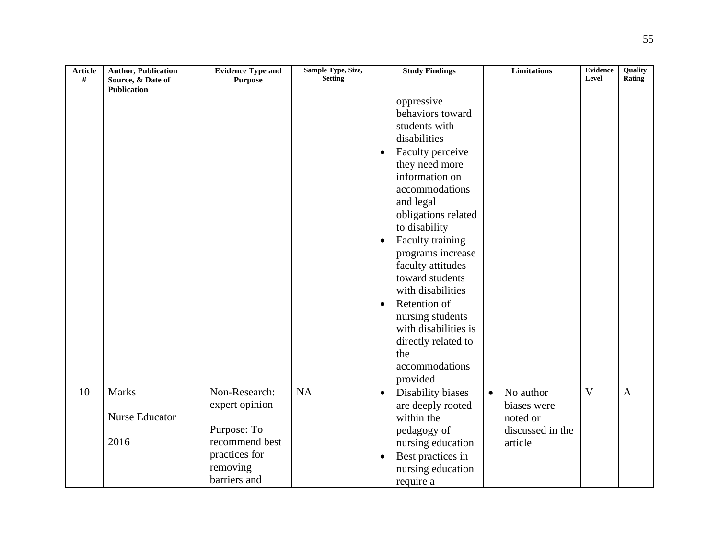| <b>Article</b><br># | <b>Author, Publication</b><br>Source, & Date of<br><b>Publication</b> | <b>Evidence Type and</b><br><b>Purpose</b>                                                                    | Sample Type, Size,<br><b>Setting</b> | <b>Study Findings</b>                                                                                                                                                                                                                                                                                                                                                                                                                                               | <b>Limitations</b>                                                               | <b>Evidence</b><br>Level | Quality<br>Rating |
|---------------------|-----------------------------------------------------------------------|---------------------------------------------------------------------------------------------------------------|--------------------------------------|---------------------------------------------------------------------------------------------------------------------------------------------------------------------------------------------------------------------------------------------------------------------------------------------------------------------------------------------------------------------------------------------------------------------------------------------------------------------|----------------------------------------------------------------------------------|--------------------------|-------------------|
|                     |                                                                       |                                                                                                               |                                      | oppressive<br>behaviors toward<br>students with<br>disabilities<br>Faculty perceive<br>$\bullet$<br>they need more<br>information on<br>accommodations<br>and legal<br>obligations related<br>to disability<br>Faculty training<br>$\bullet$<br>programs increase<br>faculty attitudes<br>toward students<br>with disabilities<br>Retention of<br>$\bullet$<br>nursing students<br>with disabilities is<br>directly related to<br>the<br>accommodations<br>provided |                                                                                  |                          |                   |
| 10                  | <b>Marks</b><br><b>Nurse Educator</b><br>2016                         | Non-Research:<br>expert opinion<br>Purpose: To<br>recommend best<br>practices for<br>removing<br>barriers and | <b>NA</b>                            | Disability biases<br>$\bullet$<br>are deeply rooted<br>within the<br>pedagogy of<br>nursing education<br>Best practices in<br>$\bullet$<br>nursing education<br>require a                                                                                                                                                                                                                                                                                           | No author<br>$\bullet$<br>biases were<br>noted or<br>discussed in the<br>article | $\overline{\mathsf{V}}$  | $\mathbf{A}$      |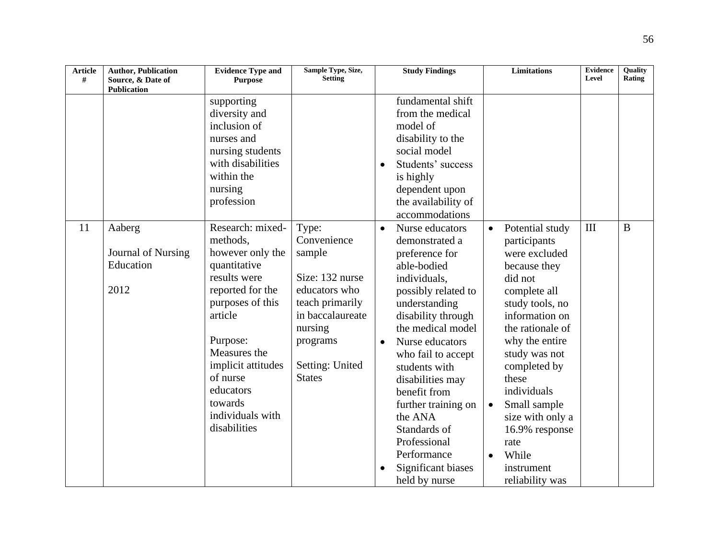| <b>Article</b><br># | <b>Author, Publication</b><br>Source, & Date of<br><b>Publication</b> | <b>Evidence Type and</b><br><b>Purpose</b>                                                                                                                                                                                                                    | Sample Type, Size,<br><b>Setting</b>                                                                                                                                 |                        | <b>Study Findings</b>                                                                                                                                                                                                                                                                                                                                                                       |                        | <b>Limitations</b>                                                                                                                                                                                                                                                                                                                      | <b>Evidence</b><br>Level | Quality<br><b>Rating</b> |
|---------------------|-----------------------------------------------------------------------|---------------------------------------------------------------------------------------------------------------------------------------------------------------------------------------------------------------------------------------------------------------|----------------------------------------------------------------------------------------------------------------------------------------------------------------------|------------------------|---------------------------------------------------------------------------------------------------------------------------------------------------------------------------------------------------------------------------------------------------------------------------------------------------------------------------------------------------------------------------------------------|------------------------|-----------------------------------------------------------------------------------------------------------------------------------------------------------------------------------------------------------------------------------------------------------------------------------------------------------------------------------------|--------------------------|--------------------------|
|                     |                                                                       | supporting<br>diversity and<br>inclusion of<br>nurses and<br>nursing students<br>with disabilities<br>within the<br>nursing<br>profession                                                                                                                     |                                                                                                                                                                      | $\bullet$              | fundamental shift<br>from the medical<br>model of<br>disability to the<br>social model<br>Students' success<br>is highly<br>dependent upon<br>the availability of<br>accommodations                                                                                                                                                                                                         |                        |                                                                                                                                                                                                                                                                                                                                         |                          |                          |
| 11                  | Aaberg<br>Journal of Nursing<br>Education<br>2012                     | Research: mixed-<br>methods,<br>however only the<br>quantitative<br>results were<br>reported for the<br>purposes of this<br>article<br>Purpose:<br>Measures the<br>implicit attitudes<br>of nurse<br>educators<br>towards<br>individuals with<br>disabilities | Type:<br>Convenience<br>sample<br>Size: 132 nurse<br>educators who<br>teach primarily<br>in baccalaureate<br>nursing<br>programs<br>Setting: United<br><b>States</b> | $\bullet$<br>$\bullet$ | Nurse educators<br>demonstrated a<br>preference for<br>able-bodied<br>individuals,<br>possibly related to<br>understanding<br>disability through<br>the medical model<br>Nurse educators<br>who fail to accept<br>students with<br>disabilities may<br>benefit from<br>further training on<br>the ANA<br>Standards of<br>Professional<br>Performance<br>Significant biases<br>held by nurse | $\bullet$<br>$\bullet$ | Potential study<br>participants<br>were excluded<br>because they<br>did not<br>complete all<br>study tools, no<br>information on<br>the rationale of<br>why the entire<br>study was not<br>completed by<br>these<br>individuals<br>Small sample<br>size with only a<br>16.9% response<br>rate<br>While<br>instrument<br>reliability was | III                      | B                        |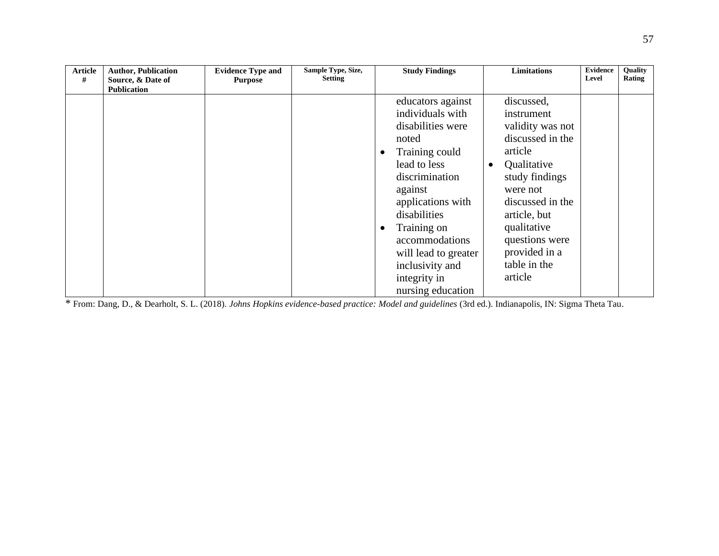| <b>Article</b><br># | <b>Author, Publication</b><br>Source, & Date of | <b>Evidence Type and</b><br><b>Purpose</b> | Sample Type, Size,<br><b>Setting</b> | <b>Study Findings</b>                                                                                                                                                                                                                                                                                      | <b>Limitations</b>                                                                                                                                                                                                                        | <b>Evidence</b><br>Level | Quality<br>Rating |
|---------------------|-------------------------------------------------|--------------------------------------------|--------------------------------------|------------------------------------------------------------------------------------------------------------------------------------------------------------------------------------------------------------------------------------------------------------------------------------------------------------|-------------------------------------------------------------------------------------------------------------------------------------------------------------------------------------------------------------------------------------------|--------------------------|-------------------|
|                     | <b>Publication</b>                              |                                            |                                      | educators against<br>individuals with<br>disabilities were<br>noted<br>Training could<br>٠<br>lead to less<br>discrimination<br>against<br>applications with<br>disabilities<br>Training on<br>$\bullet$<br>accommodations<br>will lead to greater<br>inclusivity and<br>integrity in<br>nursing education | discussed,<br>instrument<br>validity was not<br>discussed in the<br>article<br>Qualitative<br>study findings<br>were not<br>discussed in the<br>article, but<br>qualitative<br>questions were<br>provided in a<br>table in the<br>article |                          |                   |

\* From: Dang, D., & Dearholt, S. L. (2018). *Johns Hopkins evidence-based practice: Model and guidelines* (3rd ed.). Indianapolis, IN: Sigma Theta Tau.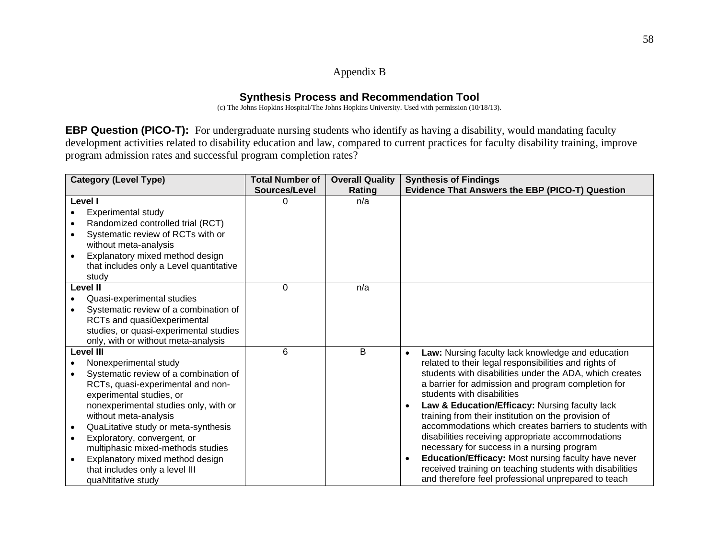# Appendix B

# **Synthesis Process and Recommendation Tool**

(c) The Johns Hopkins Hospital/The Johns Hopkins University. Used with permission (10/18/13).

**EBP Question (PICO-T):** For undergraduate nursing students who identify as having a disability, would mandating faculty development activities related to disability education and law, compared to current practices for faculty disability training, improve program admission rates and successful program completion rates?

|                  | <b>Category (Level Type)</b>            | <b>Total Number of</b> | <b>Overall Quality</b> | <b>Synthesis of Findings</b>                                     |
|------------------|-----------------------------------------|------------------------|------------------------|------------------------------------------------------------------|
|                  |                                         | Sources/Level          | Rating                 | Evidence That Answers the EBP (PICO-T) Question                  |
| Level I          |                                         | 0                      | n/a                    |                                                                  |
|                  | <b>Experimental study</b>               |                        |                        |                                                                  |
|                  | Randomized controlled trial (RCT)       |                        |                        |                                                                  |
|                  | Systematic review of RCTs with or       |                        |                        |                                                                  |
|                  | without meta-analysis                   |                        |                        |                                                                  |
|                  | Explanatory mixed method design         |                        |                        |                                                                  |
|                  | that includes only a Level quantitative |                        |                        |                                                                  |
| study            |                                         |                        |                        |                                                                  |
| Level II         |                                         | $\Omega$               | n/a                    |                                                                  |
|                  | Quasi-experimental studies              |                        |                        |                                                                  |
|                  | Systematic review of a combination of   |                        |                        |                                                                  |
|                  | RCTs and quasi0experimental             |                        |                        |                                                                  |
|                  | studies, or quasi-experimental studies  |                        |                        |                                                                  |
|                  | only, with or without meta-analysis     |                        |                        |                                                                  |
| <b>Level III</b> |                                         | 6                      | B                      | Law: Nursing faculty lack knowledge and education<br>$\bullet$   |
|                  | Nonexperimental study                   |                        |                        | related to their legal responsibilities and rights of            |
|                  | Systematic review of a combination of   |                        |                        | students with disabilities under the ADA, which creates          |
|                  | RCTs, quasi-experimental and non-       |                        |                        | a barrier for admission and program completion for               |
|                  | experimental studies, or                |                        |                        | students with disabilities                                       |
|                  | nonexperimental studies only, with or   |                        |                        | Law & Education/Efficacy: Nursing faculty lack<br>$\bullet$      |
|                  | without meta-analysis                   |                        |                        | training from their institution on the provision of              |
| $\bullet$        | QuaLitative study or meta-synthesis     |                        |                        | accommodations which creates barriers to students with           |
| $\bullet$        | Exploratory, convergent, or             |                        |                        | disabilities receiving appropriate accommodations                |
|                  | multiphasic mixed-methods studies       |                        |                        | necessary for success in a nursing program                       |
|                  | Explanatory mixed method design         |                        |                        | Education/Efficacy: Most nursing faculty have never<br>$\bullet$ |
|                  | that includes only a level III          |                        |                        | received training on teaching students with disabilities         |
|                  | quaNtitative study                      |                        |                        | and therefore feel professional unprepared to teach              |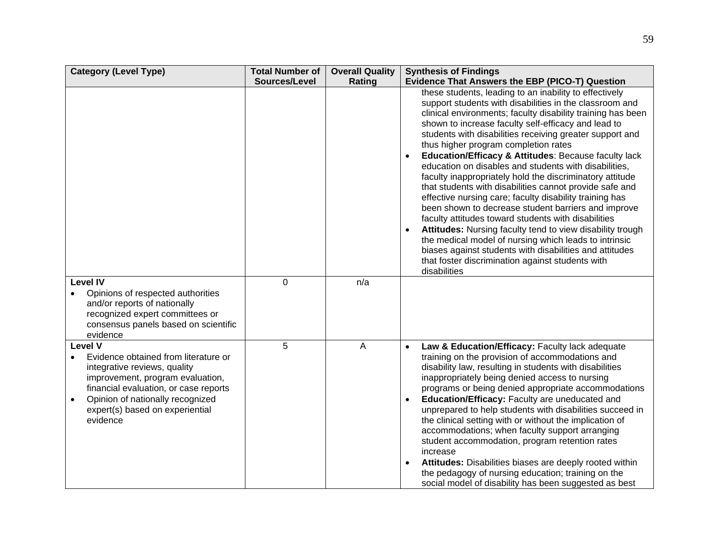| <b>Category (Level Type)</b>                                                                                                                                                                                                                                        | <b>Total Number of</b> | <b>Overall Quality</b> | <b>Synthesis of Findings</b>                                                                                                                                                                                                                                                                                                                                                                                                                                                                                                                                                                                                                                                                                                                                                                                                                                                                                                                                                                                                                |
|---------------------------------------------------------------------------------------------------------------------------------------------------------------------------------------------------------------------------------------------------------------------|------------------------|------------------------|---------------------------------------------------------------------------------------------------------------------------------------------------------------------------------------------------------------------------------------------------------------------------------------------------------------------------------------------------------------------------------------------------------------------------------------------------------------------------------------------------------------------------------------------------------------------------------------------------------------------------------------------------------------------------------------------------------------------------------------------------------------------------------------------------------------------------------------------------------------------------------------------------------------------------------------------------------------------------------------------------------------------------------------------|
|                                                                                                                                                                                                                                                                     | Sources/Level          | Rating                 | Evidence That Answers the EBP (PICO-T) Question                                                                                                                                                                                                                                                                                                                                                                                                                                                                                                                                                                                                                                                                                                                                                                                                                                                                                                                                                                                             |
|                                                                                                                                                                                                                                                                     |                        |                        | these students, leading to an inability to effectively<br>support students with disabilities in the classroom and<br>clinical environments; faculty disability training has been<br>shown to increase faculty self-efficacy and lead to<br>students with disabilities receiving greater support and<br>thus higher program completion rates<br>Education/Efficacy & Attitudes: Because faculty lack<br>$\bullet$<br>education on disables and students with disabilities,<br>faculty inappropriately hold the discriminatory attitude<br>that students with disabilities cannot provide safe and<br>effective nursing care; faculty disability training has<br>been shown to decrease student barriers and improve<br>faculty attitudes toward students with disabilities<br>Attitudes: Nursing faculty tend to view disability trough<br>$\bullet$<br>the medical model of nursing which leads to intrinsic<br>biases against students with disabilities and attitudes<br>that foster discrimination against students with<br>disabilities |
| <b>Level IV</b><br>Opinions of respected authorities<br>and/or reports of nationally<br>recognized expert committees or<br>consensus panels based on scientific<br>evidence                                                                                         | $\mathbf 0$            | n/a                    |                                                                                                                                                                                                                                                                                                                                                                                                                                                                                                                                                                                                                                                                                                                                                                                                                                                                                                                                                                                                                                             |
| <b>Level V</b><br>Evidence obtained from literature or<br>$\bullet$<br>integrative reviews, quality<br>improvement, program evaluation,<br>financial evaluation, or case reports<br>Opinion of nationally recognized<br>expert(s) based on experiential<br>evidence | 5                      | A                      | Law & Education/Efficacy: Faculty lack adequate<br>$\bullet$<br>training on the provision of accommodations and<br>disability law, resulting in students with disabilities<br>inappropriately being denied access to nursing<br>programs or being denied appropriate accommodations<br>Education/Efficacy: Faculty are uneducated and<br>$\bullet$<br>unprepared to help students with disabilities succeed in<br>the clinical setting with or without the implication of<br>accommodations; when faculty support arranging<br>student accommodation, program retention rates<br>increase<br>Attitudes: Disabilities biases are deeply rooted within<br>$\bullet$<br>the pedagogy of nursing education; training on the<br>social model of disability has been suggested as best                                                                                                                                                                                                                                                            |